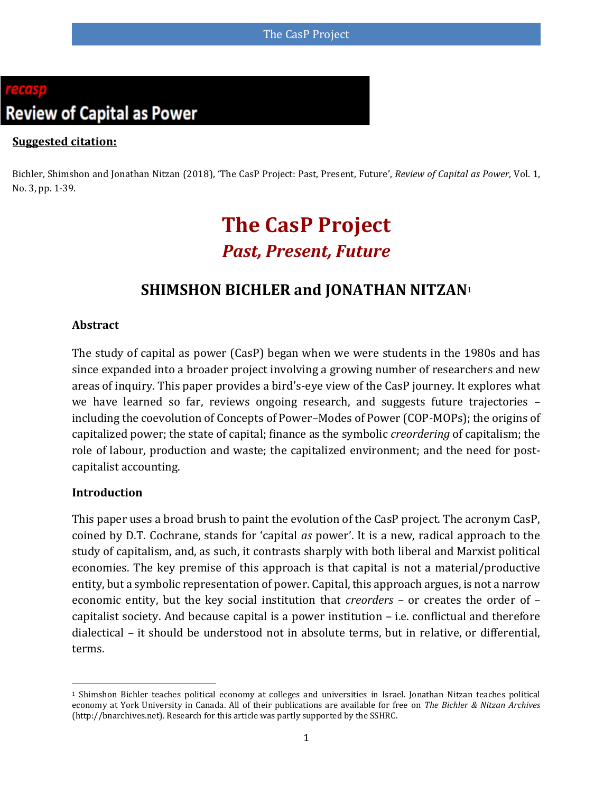# **Review of Capital as Power**

#### **Suggested citation:**

Bichler, Shimshon and Jonathan Nitzan (2018), 'The CasP Project: Past, Present, Future', *Review of Capital as Power*, Vol. 1, No. 3, pp. 1-39.

## **The CasP Project** *Past, Present, Future*

### **SHIMSHON BICHLER and JONATHAN NITZAN**<sup>1</sup>

#### **Abstract**

The study of capital as power (CasP) began when we were students in the 1980s and has since expanded into a broader project involving a growing number of researchers and new areas of inquiry. This paper provides a bird's-eye view of the CasP journey. It explores what we have learned so far, reviews ongoing research, and suggests future trajectories – including the coevolution of Concepts of Power–Modes of Power (COP-MOPs); the origins of capitalized power; the state of capital; finance as the symbolic *creordering* of capitalism; the role of labour, production and waste; the capitalized environment; and the need for postcapitalist accounting.

#### **Introduction**

 $\overline{a}$ 

This paper uses a broad brush to paint the evolution of the CasP project. The acronym CasP, coined by D.T. Cochrane, stands for 'capital *as* power'. It is a new, radical approach to the study of capitalism, and, as such, it contrasts sharply with both liberal and Marxist political economies. The key premise of this approach is that capital is not a material/productive entity, but a symbolic representation of power. Capital, this approach argues, is not a narrow economic entity, but the key social institution that *creorders* – or creates the order of – capitalist society. And because capital is a power institution – i.e. conflictual and therefore dialectical – it should be understood not in absolute terms, but in relative, or differential, terms.

<sup>1</sup> Shimshon Bichler teaches political economy at colleges and universities in Israel. Jonathan Nitzan teaches political economy at York University in Canada. All of their publications are available for free on *The Bichler & Nitzan Archives* [\(http://bnarchives.net\)](http://bnarchives.net/). Research for this article was partly supported by the SSHRC.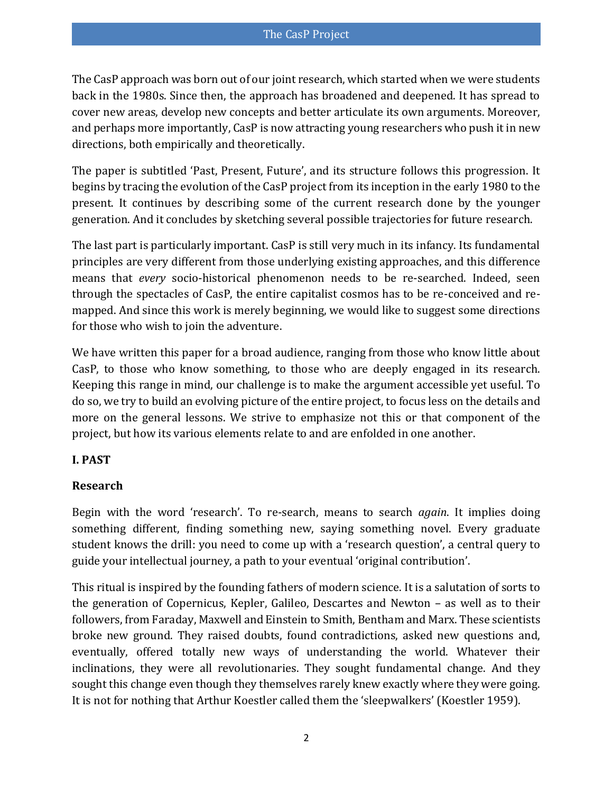The CasP approach was born out of our joint research, which started when we were students back in the 1980s. Since then, the approach has broadened and deepened. It has spread to cover new areas, develop new concepts and better articulate its own arguments. Moreover, and perhaps more importantly, CasP is now attracting young researchers who push it in new directions, both empirically and theoretically.

The paper is subtitled 'Past, Present, Future', and its structure follows this progression. It begins by tracing the evolution of the CasP project from its inception in the early 1980 to the present. It continues by describing some of the current research done by the younger generation. And it concludes by sketching several possible trajectories for future research.

The last part is particularly important. CasP is still very much in its infancy. Its fundamental principles are very different from those underlying existing approaches, and this difference means that *every* socio-historical phenomenon needs to be re-searched. Indeed, seen through the spectacles of CasP, the entire capitalist cosmos has to be re-conceived and remapped. And since this work is merely beginning, we would like to suggest some directions for those who wish to join the adventure.

We have written this paper for a broad audience, ranging from those who know little about CasP, to those who know something, to those who are deeply engaged in its research. Keeping this range in mind, our challenge is to make the argument accessible yet useful. To do so, we try to build an evolving picture of the entire project, to focus less on the details and more on the general lessons. We strive to emphasize not this or that component of the project, but how its various elements relate to and are enfolded in one another.

#### **I. PAST**

#### **Research**

Begin with the word 'research'. To re-search, means to search *again*. It implies doing something different, finding something new, saying something novel. Every graduate student knows the drill: you need to come up with a 'research question', a central query to guide your intellectual journey, a path to your eventual 'original contribution'.

This ritual is inspired by the founding fathers of modern science. It is a salutation of sorts to the generation of Copernicus, Kepler, Galileo, Descartes and Newton – as well as to their followers, from Faraday, Maxwell and Einstein to Smith, Bentham and Marx. These scientists broke new ground. They raised doubts, found contradictions, asked new questions and, eventually, offered totally new ways of understanding the world. Whatever their inclinations, they were all revolutionaries. They sought fundamental change. And they sought this change even though they themselves rarely knew exactly where they were going. It is not for nothing that Arthur Koestler called them the 'sleepwalkers' [\(Koestler 1959\)](#page-35-0).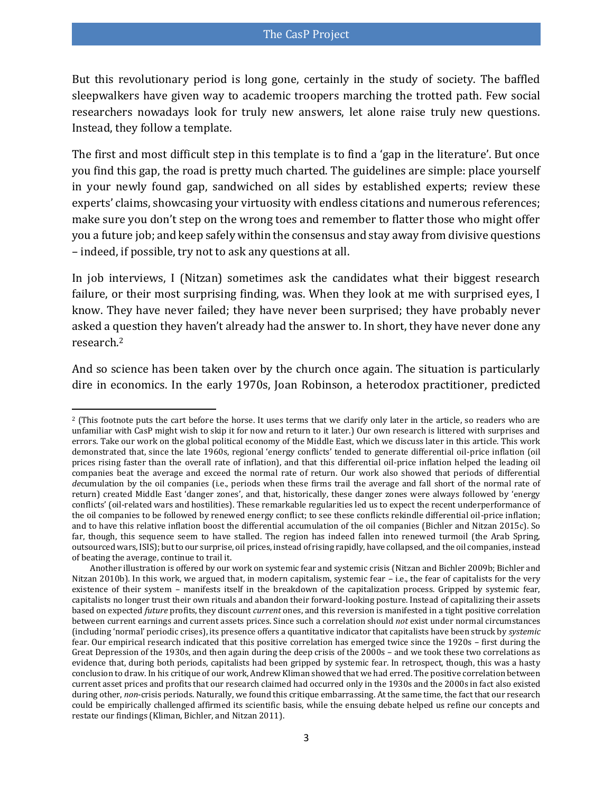But this revolutionary period is long gone, certainly in the study of society. The baffled sleepwalkers have given way to academic troopers marching the trotted path. Few social researchers nowadays look for truly new answers, let alone raise truly new questions. Instead, they follow a template.

The first and most difficult step in this template is to find a 'gap in the literature'. But once you find this gap, the road is pretty much charted. The guidelines are simple: place yourself in your newly found gap, sandwiched on all sides by established experts; review these experts' claims, showcasing your virtuosity with endless citations and numerous references; make sure you don't step on the wrong toes and remember to flatter those who might offer you a future job; and keep safely within the consensus and stay away from divisive questions – indeed, if possible, try not to ask any questions at all.

In job interviews, I (Nitzan) sometimes ask the candidates what their biggest research failure, or their most surprising finding, was. When they look at me with surprised eyes, I know. They have never failed; they have never been surprised; they have probably never asked a question they haven't already had the answer to. In short, they have never done any research.<sup>2</sup>

<span id="page-2-0"></span>And so science has been taken over by the church once again. The situation is particularly dire in economics. In the early 1970s, Joan Robinson, a heterodox practitioner, predicted

 $\overline{\phantom{a}}$ <sup>2</sup> (This footnote puts the cart before the horse. It uses terms that we clarify only later in the article, so readers who are unfamiliar with CasP might wish to skip it for now and return to it later.) Our own research is littered with surprises and errors. Take our work on the global political economy of the Middle East, which we discuss later in this article. This work demonstrated that, since the late 1960s, regional 'energy conflicts' tended to generate differential oil-price inflation (oil prices rising faster than the overall rate of inflation), and that this differential oil-price inflation helped the leading oil companies beat the average and exceed the normal rate of return. Our work also showed that periods of differential *de*cumulation by the oil companies (i.e., periods when these firms trail the average and fall short of the normal rate of return) created Middle East 'danger zones', and that, historically, these danger zones were always followed by 'energy conflicts' (oil-related wars and hostilities). These remarkable regularities led us to expect the recent underperformance of the oil companies to be followed by renewed energy conflict; to see these conflicts rekindle differential oil-price inflation; and to have this relative inflation boost the differential accumulation of the oil companies [\(Bichler and Nitzan 2015c\)](#page-32-0). So far, though, this sequence seem to have stalled. The region has indeed fallen into renewed turmoil (the Arab Spring, outsourced wars, ISIS); but to our surprise, oil prices, instead of rising rapidly, have collapsed, and the oil companies, instead of beating the average, continue to trail it.

Another illustration is offered by our work on systemic fear and systemic crisis [\(Nitzan and Bichler 2009b;](#page-37-0) [Bichler and](#page-32-1)  [Nitzan 2010b\)](#page-32-1). In this work, we argued that, in modern capitalism, systemic fear – i.e., the fear of capitalists for the very existence of their system – manifests itself in the breakdown of the capitalization process. Gripped by systemic fear, capitalists no longer trust their own rituals and abandon their forward-looking posture. Instead of capitalizing their assets based on expected *future* profits, they discount *current* ones, and this reversion is manifested in a tight positive correlation between current earnings and current assets prices. Since such a correlation should *not* exist under normal circumstances (including 'normal' periodic crises), its presence offers a quantitative indicator that capitalists have been struck by *systemic* fear. Our empirical research indicated that this positive correlation has emerged twice since the 1920s – first during the Great Depression of the 1930s, and then again during the deep crisis of the 2000s – and we took these two correlations as evidence that, during both periods, capitalists had been gripped by systemic fear. In retrospect, though, this was a hasty conclusion to draw. In his critique of our work, Andrew Kliman showed that we had erred. The positive correlation between current asset prices and profits that our research claimed had occurred only in the 1930s and the 2000s in fact also existed during other, *non*-crisis periods. Naturally, we found this critique embarrassing. At the same time, the fact that our research could be empirically challenged affirmed its scientific basis, while the ensuing debate helped us refine our concepts and restate our findings [\(Kliman, Bichler, and Nitzan 2011\)](#page-35-1).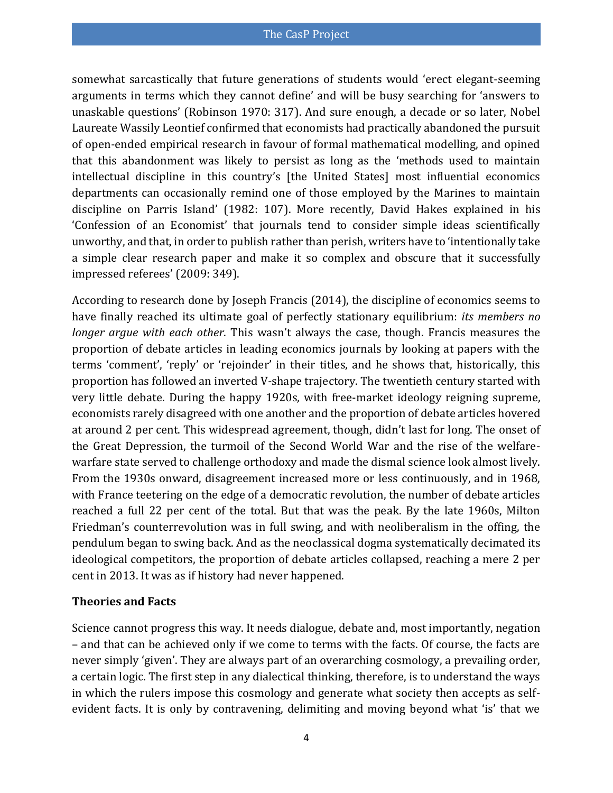somewhat sarcastically that future generations of students would 'erect elegant-seeming arguments in terms which they cannot define' and will be busy searching for 'answers to unaskable questions' [\(Robinson 1970: 317\)](#page-37-1). And sure enough, a decade or so later, Nobel Laureate Wassily Leontief confirmed that economists had practically abandoned the pursuit of open-ended empirical research in favour of formal mathematical modelling, and opined that this abandonment was likely to persist as long as the 'methods used to maintain intellectual discipline in this country's [the United States] most influential economics departments can occasionally remind one of those employed by the Marines to maintain discipline on Parris Island' [\(1982: 107\)](#page-35-2). More recently, David Hakes explained in his 'Confession of an Economist' that journals tend to consider simple ideas scientifically unworthy, and that, in order to publish rather than perish, writers have to 'intentionally take a simple clear research paper and make it so complex and obscure that it successfully impressed referees' [\(2009: 349\)](#page-35-3).

According to research done by Joseph Francis [\(2014\)](#page-34-0), the discipline of economics seems to have finally reached its ultimate goal of perfectly stationary equilibrium: *its members no longer argue with each other*. This wasn't always the case, though. Francis measures the proportion of debate articles in leading economics journals by looking at papers with the terms 'comment', 'reply' or 'rejoinder' in their titles, and he shows that, historically, this proportion has followed an inverted V-shape trajectory. The twentieth century started with very little debate. During the happy 1920s, with free-market ideology reigning supreme, economists rarely disagreed with one another and the proportion of debate articles hovered at around 2 per cent. This widespread agreement, though, didn't last for long. The onset of the Great Depression, the turmoil of the Second World War and the rise of the welfarewarfare state served to challenge orthodoxy and made the dismal science look almost lively. From the 1930s onward, disagreement increased more or less continuously, and in 1968, with France teetering on the edge of a democratic revolution, the number of debate articles reached a full 22 per cent of the total. But that was the peak. By the late 1960s, Milton Friedman's counterrevolution was in full swing, and with neoliberalism in the offing, the pendulum began to swing back. And as the neoclassical dogma systematically decimated its ideological competitors, the proportion of debate articles collapsed, reaching a mere 2 per cent in 2013. It was as if history had never happened.

#### **Theories and Facts**

Science cannot progress this way. It needs dialogue, debate and, most importantly, negation – and that can be achieved only if we come to terms with the facts. Of course, the facts are never simply 'given'. They are always part of an overarching cosmology, a prevailing order, a certain logic. The first step in any dialectical thinking, therefore, is to understand the ways in which the rulers impose this cosmology and generate what society then accepts as selfevident facts. It is only by contravening, delimiting and moving beyond what 'is' that we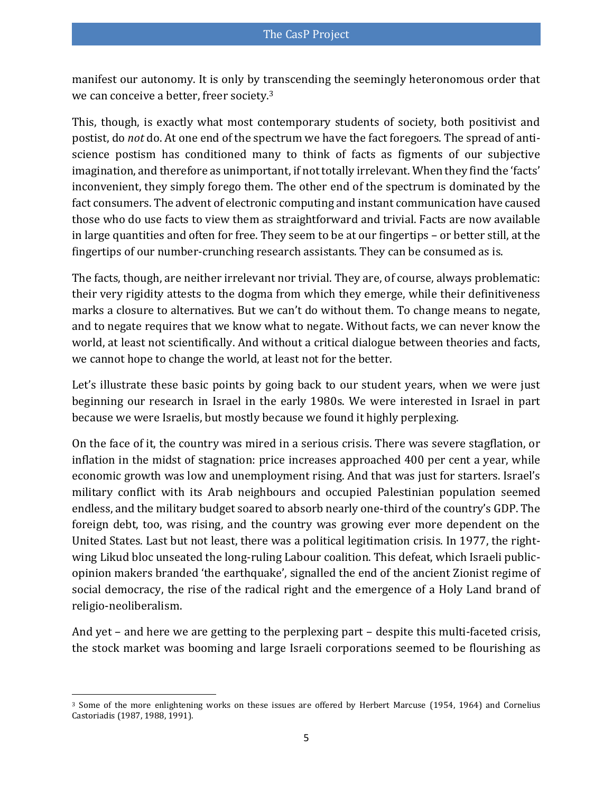manifest our autonomy. It is only by transcending the seemingly heteronomous order that we can conceive a better, freer society.<sup>3</sup>

This, though, is exactly what most contemporary students of society, both positivist and postist, do *not* do. At one end of the spectrum we have the fact foregoers. The spread of antiscience postism has conditioned many to think of facts as figments of our subjective imagination, and therefore as unimportant, if not totally irrelevant. When they find the 'facts' inconvenient, they simply forego them. The other end of the spectrum is dominated by the fact consumers. The advent of electronic computing and instant communication have caused those who do use facts to view them as straightforward and trivial. Facts are now available in large quantities and often for free. They seem to be at our fingertips – or better still, at the fingertips of our number-crunching research assistants. They can be consumed as is.

The facts, though, are neither irrelevant nor trivial. They are, of course, always problematic: their very rigidity attests to the dogma from which they emerge, while their definitiveness marks a closure to alternatives. But we can't do without them. To change means to negate, and to negate requires that we know what to negate. Without facts, we can never know the world, at least not scientifically. And without a critical dialogue between theories and facts, we cannot hope to change the world, at least not for the better.

Let's illustrate these basic points by going back to our student years, when we were just beginning our research in Israel in the early 1980s. We were interested in Israel in part because we were Israelis, but mostly because we found it highly perplexing.

On the face of it, the country was mired in a serious crisis. There was severe stagflation, or inflation in the midst of stagnation: price increases approached 400 per cent a year, while economic growth was low and unemployment rising. And that was just for starters. Israel's military conflict with its Arab neighbours and occupied Palestinian population seemed endless, and the military budget soared to absorb nearly one-third of the country's GDP. The foreign debt, too, was rising, and the country was growing ever more dependent on the United States. Last but not least, there was a political legitimation crisis. In 1977, the rightwing Likud bloc unseated the long-ruling Labour coalition. This defeat, which Israeli publicopinion makers branded 'the earthquake', signalled the end of the ancient Zionist regime of social democracy, the rise of the radical right and the emergence of a Holy Land brand of religio-neoliberalism.

And yet – and here we are getting to the perplexing part – despite this multi-faceted crisis, the stock market was booming and large Israeli corporations seemed to be flourishing as

l <sup>3</sup> Some of the more enlightening works on these issues are offered by Herbert Marcuse [\(1954,](#page-35-4) [1964\)](#page-35-5) and Cornelius Castoriadis [\(1987,](#page-33-0) [1988,](#page-33-1) [1991\)](#page-33-2).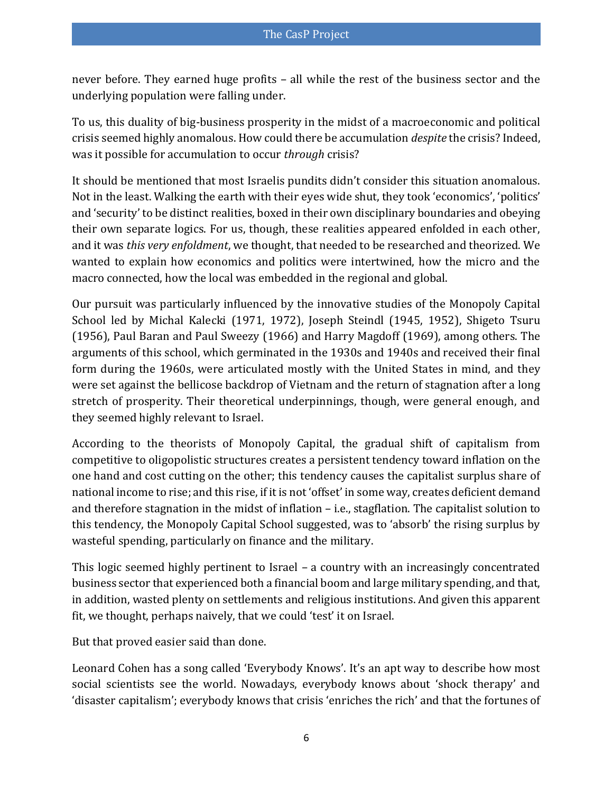never before. They earned huge profits – all while the rest of the business sector and the underlying population were falling under.

To us, this duality of big-business prosperity in the midst of a macroeconomic and political crisis seemed highly anomalous. How could there be accumulation *despite* the crisis? Indeed, was it possible for accumulation to occur *through* crisis?

It should be mentioned that most Israelis pundits didn't consider this situation anomalous. Not in the least. Walking the earth with their eyes wide shut, they took 'economics', 'politics' and 'security' to be distinct realities, boxed in their own disciplinary boundaries and obeying their own separate logics. For us, though, these realities appeared enfolded in each other, and it was *this very enfoldment*, we thought, that needed to be researched and theorized. We wanted to explain how economics and politics were intertwined, how the micro and the macro connected, how the local was embedded in the regional and global.

Our pursuit was particularly influenced by the innovative studies of the Monopoly Capital School led by Michal Kalecki [\(1971,](#page-35-6) [1972\)](#page-35-7), Joseph Steindl [\(1945,](#page-38-0) [1952\)](#page-38-1), Shigeto Tsuru [\(1956\)](#page-38-2), Paul Baran and Paul Sweezy [\(1966\)](#page-31-0) and Harry Magdoff [\(1969\)](#page-35-8), among others. The arguments of this school, which germinated in the 1930s and 1940s and received their final form during the 1960s, were articulated mostly with the United States in mind, and they were set against the bellicose backdrop of Vietnam and the return of stagnation after a long stretch of prosperity. Their theoretical underpinnings, though, were general enough, and they seemed highly relevant to Israel.

According to the theorists of Monopoly Capital, the gradual shift of capitalism from competitive to oligopolistic structures creates a persistent tendency toward inflation on the one hand and cost cutting on the other; this tendency causes the capitalist surplus share of national income to rise; and this rise, if it is not 'offset' in some way, creates deficient demand and therefore stagnation in the midst of inflation – i.e., stagflation. The capitalist solution to this tendency, the Monopoly Capital School suggested, was to 'absorb' the rising surplus by wasteful spending, particularly on finance and the military.

This logic seemed highly pertinent to Israel – a country with an increasingly concentrated business sector that experienced both a financial boom and large military spending, and that, in addition, wasted plenty on settlements and religious institutions. And given this apparent fit, we thought, perhaps naively, that we could 'test' it on Israel.

But that proved easier said than done.

Leonard Cohen has a song called 'Everybody Knows'. It's an apt way to describe how most social scientists see the world. Nowadays, everybody knows about 'shock therapy' and 'disaster capitalism'; everybody knows that crisis 'enriches the rich' and that the fortunes of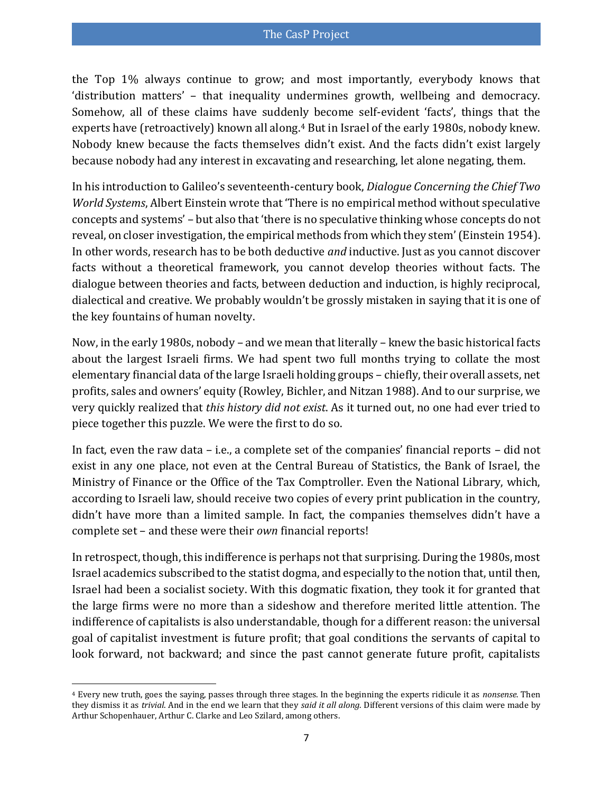the Top 1% always continue to grow; and most importantly, everybody knows that 'distribution matters' – that inequality undermines growth, wellbeing and democracy. Somehow, all of these claims have suddenly become self-evident 'facts', things that the experts have (retroactively) known all along.<sup>4</sup> But in Israel of the early 1980s, nobody knew. Nobody knew because the facts themselves didn't exist. And the facts didn't exist largely because nobody had any interest in excavating and researching, let alone negating, them.

In his introduction to Galileo's seventeenth-century book, *Dialogue Concerning the Chief Two World Systems*, Albert Einstein wrote that 'There is no empirical method without speculative concepts and systems' – but also that 'there is no speculative thinking whose concepts do not reveal, on closer investigation, the empirical methods from which they stem' [\(Einstein 1954\)](#page-34-1). In other words, research has to be both deductive *and* inductive. Just as you cannot discover facts without a theoretical framework, you cannot develop theories without facts. The dialogue between theories and facts, between deduction and induction, is highly reciprocal, dialectical and creative. We probably wouldn't be grossly mistaken in saying that it is one of the key fountains of human novelty.

Now, in the early 1980s, nobody – and we mean that literally – knew the basic historical facts about the largest Israeli firms. We had spent two full months trying to collate the most elementary financial data of the large Israeli holding groups – chiefly, their overall assets, net profits, sales and owners' equity [\(Rowley, Bichler, and Nitzan 1988\)](#page-38-3). And to our surprise, we very quickly realized that *this history did not exist*. As it turned out, no one had ever tried to piece together this puzzle. We were the first to do so.

In fact, even the raw data – i.e., a complete set of the companies' financial reports – did not exist in any one place, not even at the Central Bureau of Statistics, the Bank of Israel, the Ministry of Finance or the Office of the Tax Comptroller. Even the National Library, which, according to Israeli law, should receive two copies of every print publication in the country, didn't have more than a limited sample. In fact, the companies themselves didn't have a complete set – and these were their *own* financial reports!

In retrospect, though, this indifference is perhaps not that surprising. During the 1980s, most Israel academics subscribed to the statist dogma, and especially to the notion that, until then, Israel had been a socialist society. With this dogmatic fixation, they took it for granted that the large firms were no more than a sideshow and therefore merited little attention. The indifference of capitalists is also understandable, though for a different reason: the universal goal of capitalist investment is future profit; that goal conditions the servants of capital to look forward, not backward; and since the past cannot generate future profit, capitalists

 $\overline{a}$ 

<sup>4</sup> Every new truth, goes the saying, passes through three stages. In the beginning the experts ridicule it as *nonsense*. Then they dismiss it as *trivial*. And in the end we learn that they *said it all along*. Different versions of this claim were made by Arthur Schopenhauer, Arthur C. Clarke and Leo Szilard, among others.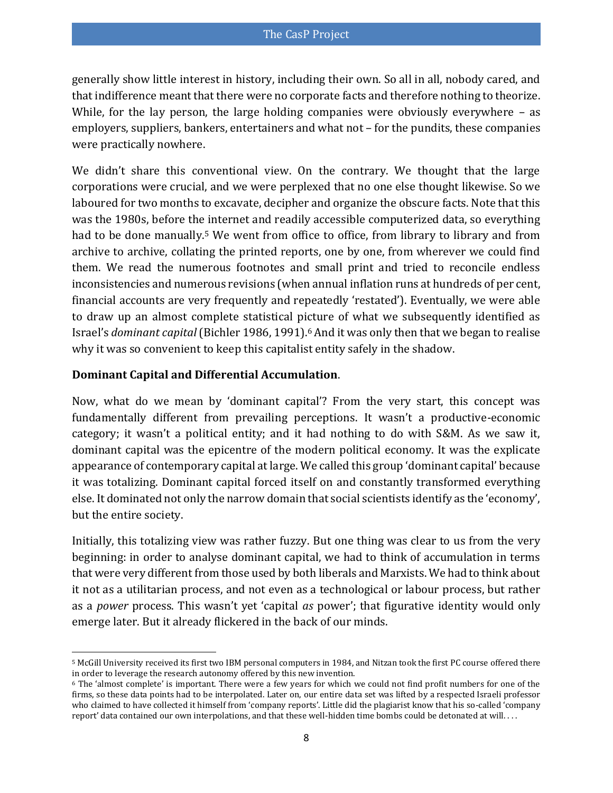generally show little interest in history, including their own. So all in all, nobody cared, and that indifference meant that there were no corporate facts and therefore nothing to theorize. While, for the lay person, the large holding companies were obviously everywhere – as employers, suppliers, bankers, entertainers and what not – for the pundits, these companies were practically nowhere.

We didn't share this conventional view. On the contrary. We thought that the large corporations were crucial, and we were perplexed that no one else thought likewise. So we laboured for two months to excavate, decipher and organize the obscure facts. Note that this was the 1980s, before the internet and readily accessible computerized data, so everything had to be done manually.<sup>5</sup> We went from office to office, from library to library and from archive to archive, collating the printed reports, one by one, from wherever we could find them. We read the numerous footnotes and small print and tried to reconcile endless inconsistencies and numerous revisions (when annual inflation runs at hundreds of per cent, financial accounts are very frequently and repeatedly 'restated'). Eventually, we were able to draw up an almost complete statistical picture of what we subsequently identified as Israel's *dominant capital* [\(Bichler 1986,](#page-31-1) [1991\)](#page-31-2). <sup>6</sup> And it was only then that we began to realise why it was so convenient to keep this capitalist entity safely in the shadow.

#### **Dominant Capital and Differential Accumulation**.

Now, what do we mean by 'dominant capital'? From the very start, this concept was fundamentally different from prevailing perceptions. It wasn't a productive-economic category; it wasn't a political entity; and it had nothing to do with S&M. As we saw it, dominant capital was the epicentre of the modern political economy. It was the explicate appearance of contemporary capital at large. We called this group 'dominant capital' because it was totalizing. Dominant capital forced itself on and constantly transformed everything else. It dominated not only the narrow domain that social scientists identify as the 'economy', but the entire society.

Initially, this totalizing view was rather fuzzy. But one thing was clear to us from the very beginning: in order to analyse dominant capital, we had to think of accumulation in terms that were very different from those used by both liberals and Marxists. We had to think about it not as a utilitarian process, and not even as a technological or labour process, but rather as a *power* process. This wasn't yet 'capital *as* power'; that figurative identity would only emerge later. But it already flickered in the back of our minds.

 $\overline{\phantom{a}}$ <sup>5</sup> McGill University received its first two IBM personal computers in 1984, and Nitzan took the first PC course offered there in order to leverage the research autonomy offered by this new invention.

<sup>6</sup> The 'almost complete' is important. There were a few years for which we could not find profit numbers for one of the firms, so these data points had to be interpolated. Later on, our entire data set was lifted by a respected Israeli professor who claimed to have collected it himself from 'company reports'. Little did the plagiarist know that his so-called 'company report' data contained our own interpolations, and that these well-hidden time bombs could be detonated at will. . . .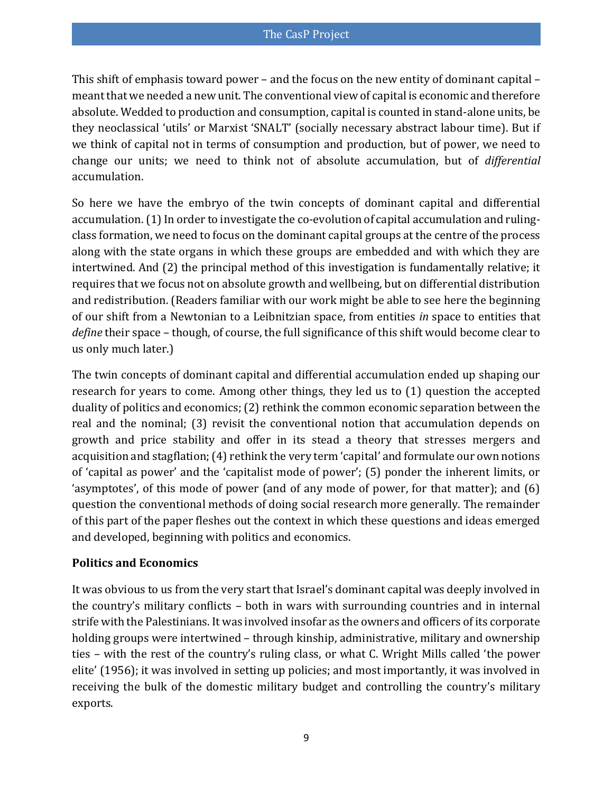This shift of emphasis toward power – and the focus on the new entity of dominant capital – meant that we needed a new unit. The conventional view of capital is economic and therefore absolute. Wedded to production and consumption, capital is counted in stand-alone units, be they neoclassical 'utils' or Marxist 'SNALT' (socially necessary abstract labour time). But if we think of capital not in terms of consumption and production, but of power, we need to change our units; we need to think not of absolute accumulation, but of *differential* accumulation.

So here we have the embryo of the twin concepts of dominant capital and differential accumulation. (1) In order to investigate the co-evolution of capital accumulation and rulingclass formation, we need to focus on the dominant capital groups at the centre of the process along with the state organs in which these groups are embedded and with which they are intertwined. And (2) the principal method of this investigation is fundamentally relative; it requires that we focus not on absolute growth and wellbeing, but on differential distribution and redistribution. (Readers familiar with our work might be able to see here the beginning of our shift from a Newtonian to a Leibnitzian space, from entities *in* space to entities that *define* their space – though, of course, the full significance of this shift would become clear to us only much later.)

The twin concepts of dominant capital and differential accumulation ended up shaping our research for years to come. Among other things, they led us to (1) question the accepted duality of politics and economics; (2) rethink the common economic separation between the real and the nominal; (3) revisit the conventional notion that accumulation depends on growth and price stability and offer in its stead a theory that stresses mergers and acquisition and stagflation; (4) rethink the very term 'capital' and formulate our own notions of 'capital as power' and the 'capitalist mode of power'; (5) ponder the inherent limits, or 'asymptotes', of this mode of power (and of any mode of power, for that matter); and (6) question the conventional methods of doing social research more generally. The remainder of this part of the paper fleshes out the context in which these questions and ideas emerged and developed, beginning with politics and economics.

#### **Politics and Economics**

It was obvious to us from the very start that Israel's dominant capital was deeply involved in the country's military conflicts – both in wars with surrounding countries and in internal strife with the Palestinians. It was involved insofar as the owners and officers of its corporate holding groups were intertwined – through kinship, administrative, military and ownership ties – with the rest of the country's ruling class, or what C. Wright Mills called 'the power elite' [\(1956\)](#page-36-0); it was involved in setting up policies; and most importantly, it was involved in receiving the bulk of the domestic military budget and controlling the country's military exports.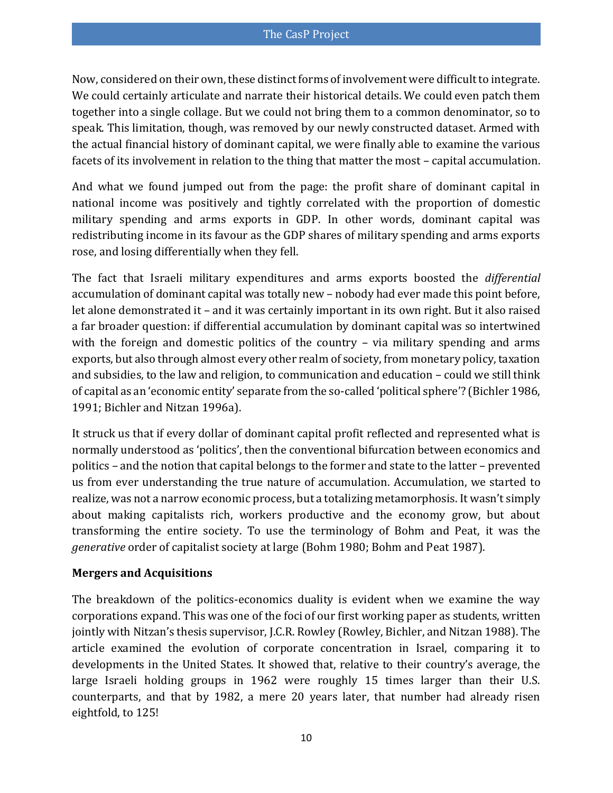Now, considered on their own, these distinct forms of involvement were difficult to integrate. We could certainly articulate and narrate their historical details. We could even patch them together into a single collage. But we could not bring them to a common denominator, so to speak. This limitation, though, was removed by our newly constructed dataset. Armed with the actual financial history of dominant capital, we were finally able to examine the various facets of its involvement in relation to the thing that matter the most – capital accumulation.

And what we found jumped out from the page: the profit share of dominant capital in national income was positively and tightly correlated with the proportion of domestic military spending and arms exports in GDP. In other words, dominant capital was redistributing income in its favour as the GDP shares of military spending and arms exports rose, and losing differentially when they fell.

The fact that Israeli military expenditures and arms exports boosted the *differential*  accumulation of dominant capital was totally new – nobody had ever made this point before, let alone demonstrated it – and it was certainly important in its own right. But it also raised a far broader question: if differential accumulation by dominant capital was so intertwined with the foreign and domestic politics of the country – via military spending and arms exports, but also through almost every other realm of society, from monetary policy, taxation and subsidies, to the law and religion, to communication and education – could we still think of capital as an 'economic entity' separate from the so-called 'political sphere'? [\(Bichler 1986,](#page-31-1) [1991;](#page-31-2) [Bichler and Nitzan 1996a\)](#page-31-3).

It struck us that if every dollar of dominant capital profit reflected and represented what is normally understood as 'politics', then the conventional bifurcation between economics and politics – and the notion that capital belongs to the former and state to the latter – prevented us from ever understanding the true nature of accumulation. Accumulation, we started to realize, was not a narrow economic process, but a totalizing metamorphosis. It wasn't simply about making capitalists rich, workers productive and the economy grow, but about transforming the entire society. To use the terminology of Bohm and Peat, it was the *generative* order of capitalist society at large [\(Bohm 1980;](#page-33-3) [Bohm and Peat 1987\)](#page-33-4).

#### **Mergers and Acquisitions**

The breakdown of the politics-economics duality is evident when we examine the way corporations expand. This was one of the foci of our first working paper as students, written jointly with Nitzan's thesis supervisor, J.C.R. Rowley [\(Rowley, Bichler, and Nitzan 1988\)](#page-38-3). The article examined the evolution of corporate concentration in Israel, comparing it to developments in the United States. It showed that, relative to their country's average, the large Israeli holding groups in 1962 were roughly 15 times larger than their U.S. counterparts, and that by 1982, a mere 20 years later, that number had already risen eightfold, to 125!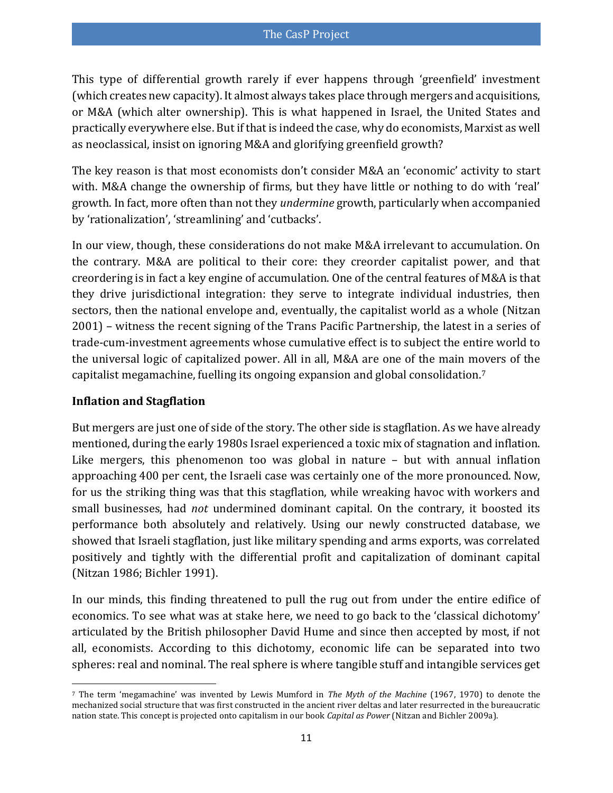This type of differential growth rarely if ever happens through 'greenfield' investment (which creates new capacity). It almost always takes place through mergers and acquisitions, or M&A (which alter ownership). This is what happened in Israel, the United States and practically everywhere else. But if that is indeed the case, why do economists, Marxist as well as neoclassical, insist on ignoring M&A and glorifying greenfield growth?

The key reason is that most economists don't consider M&A an 'economic' activity to start with. M&A change the ownership of firms, but they have little or nothing to do with 'real' growth. In fact, more often than not they *undermine* growth, particularly when accompanied by 'rationalization', 'streamlining' and 'cutbacks'.

In our view, though, these considerations do not make M&A irrelevant to accumulation. On the contrary. M&A are political to their core: they creorder capitalist power, and that creordering is in fact a key engine of accumulation. One of the central features of M&A is that they drive jurisdictional integration: they serve to integrate individual industries, then sectors, then the national envelope and, eventually, the capitalist world as a whole [\(Nitzan](#page-36-1)  [2001\)](#page-36-1) – witness the recent signing of the Trans Pacific Partnership, the latest in a series of trade-cum-investment agreements whose cumulative effect is to subject the entire world to the universal logic of capitalized power. All in all, M&A are one of the main movers of the capitalist megamachine, fuelling its ongoing expansion and global consolidation.<sup>7</sup>

#### **Inflation and Stagflation**

But mergers are just one of side of the story. The other side is stagflation. As we have already mentioned, during the early 1980s Israel experienced a toxic mix of stagnation and inflation. Like mergers, this phenomenon too was global in nature – but with annual inflation approaching 400 per cent, the Israeli case was certainly one of the more pronounced. Now, for us the striking thing was that this stagflation, while wreaking havoc with workers and small businesses, had *not* undermined dominant capital. On the contrary, it boosted its performance both absolutely and relatively. Using our newly constructed database, we showed that Israeli stagflation, just like military spending and arms exports, was correlated positively and tightly with the differential profit and capitalization of dominant capital [\(Nitzan 1986;](#page-36-2) [Bichler 1991\)](#page-31-2).

In our minds, this finding threatened to pull the rug out from under the entire edifice of economics. To see what was at stake here, we need to go back to the 'classical dichotomy' articulated by the British philosopher David Hume and since then accepted by most, if not all, economists. According to this dichotomy, economic life can be separated into two spheres: real and nominal. The real sphere is where tangible stuff and intangible services get

 $\overline{a}$ <sup>7</sup> The term 'megamachine' was invented by Lewis Mumford in *The Myth of the Machine* [\(1967,](#page-36-3) [1970\)](#page-36-4) to denote the mechanized social structure that was first constructed in the ancient river deltas and later resurrected in the bureaucratic nation state. This concept is projected onto capitalism in our book *Capital as Power* [\(Nitzan and Bichler 2009a\)](#page-37-2).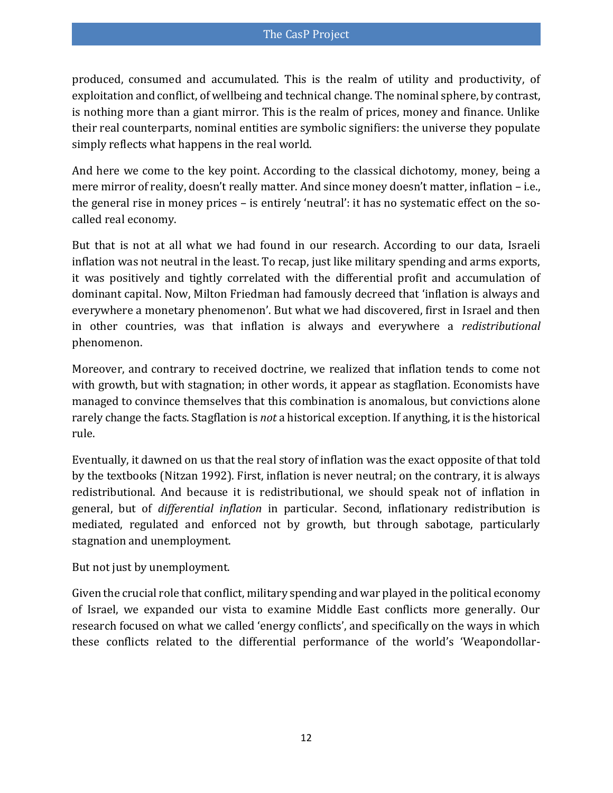produced, consumed and accumulated. This is the realm of utility and productivity, of exploitation and conflict, of wellbeing and technical change. The nominal sphere, by contrast, is nothing more than a giant mirror. This is the realm of prices, money and finance. Unlike their real counterparts, nominal entities are symbolic signifiers: the universe they populate simply reflects what happens in the real world.

And here we come to the key point. According to the classical dichotomy, money, being a mere mirror of reality, doesn't really matter. And since money doesn't matter, inflation – i.e., the general rise in money prices – is entirely 'neutral': it has no systematic effect on the socalled real economy.

But that is not at all what we had found in our research. According to our data, Israeli inflation was not neutral in the least. To recap, just like military spending and arms exports, it was positively and tightly correlated with the differential profit and accumulation of dominant capital. Now, Milton Friedman had famously decreed that 'inflation is always and everywhere a monetary phenomenon'. But what we had discovered, first in Israel and then in other countries, was that inflation is always and everywhere a *redistributional* phenomenon.

Moreover, and contrary to received doctrine, we realized that inflation tends to come not with growth, but with stagnation; in other words, it appear as stagflation. Economists have managed to convince themselves that this combination is anomalous, but convictions alone rarely change the facts. Stagflation is *not* a historical exception. If anything, it is the historical rule.

Eventually, it dawned on us that the real story of inflation was the exact opposite of that told by the textbooks [\(Nitzan 1992\)](#page-36-5). First, inflation is never neutral; on the contrary, it is always redistributional. And because it is redistributional, we should speak not of inflation in general, but of *differential inflation* in particular. Second, inflationary redistribution is mediated, regulated and enforced not by growth, but through sabotage, particularly stagnation and unemployment.

But not just by unemployment.

Given the crucial role that conflict, military spending and war played in the political economy of Israel, we expanded our vista to examine Middle East conflicts more generally. Our research focused on what we called 'energy conflicts', and specifically on the ways in which these conflicts related to the differential performance of the world's 'Weapondollar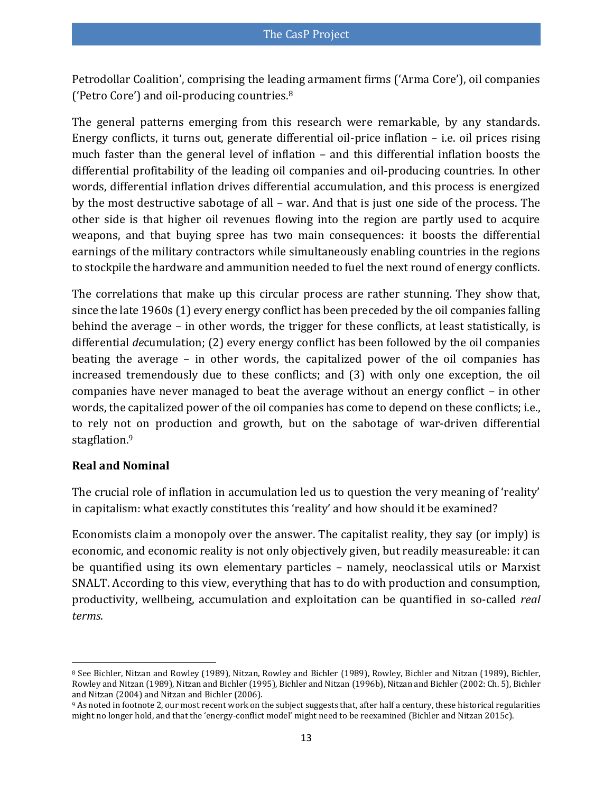Petrodollar Coalition', comprising the leading armament firms ('Arma Core'), oil companies ('Petro Core') and oil-producing countries.<sup>8</sup>

The general patterns emerging from this research were remarkable, by any standards. Energy conflicts, it turns out, generate differential oil-price inflation – i.e. oil prices rising much faster than the general level of inflation – and this differential inflation boosts the differential profitability of the leading oil companies and oil-producing countries. In other words, differential inflation drives differential accumulation, and this process is energized by the most destructive sabotage of all – war. And that is just one side of the process. The other side is that higher oil revenues flowing into the region are partly used to acquire weapons, and that buying spree has two main consequences: it boosts the differential earnings of the military contractors while simultaneously enabling countries in the regions to stockpile the hardware and ammunition needed to fuel the next round of energy conflicts.

The correlations that make up this circular process are rather stunning. They show that, since the late 1960s (1) every energy conflict has been preceded by the oil companies falling behind the average – in other words, the trigger for these conflicts, at least statistically, is differential *de*cumulation; (2) every energy conflict has been followed by the oil companies beating the average – in other words, the capitalized power of the oil companies has increased tremendously due to these conflicts; and (3) with only one exception, the oil companies have never managed to beat the average without an energy conflict – in other words, the capitalized power of the oil companies has come to depend on these conflicts; i.e., to rely not on production and growth, but on the sabotage of war-driven differential stagflation.<sup>9</sup>

#### **Real and Nominal**

The crucial role of inflation in accumulation led us to question the very meaning of 'reality' in capitalism: what exactly constitutes this 'reality' and how should it be examined?

Economists claim a monopoly over the answer. The capitalist reality, they say (or imply) is economic, and economic reality is not only objectively given, but readily measureable: it can be quantified using its own elementary particles – namely, neoclassical utils or Marxist SNALT. According to this view, everything that has to do with production and consumption, productivity, wellbeing, accumulation and exploitation can be quantified in so-called *real terms*.

 $\overline{\phantom{a}}$ <sup>8</sup> See Bichler, Nitzan and Rowley [\(1989\)](#page-33-5), Nitzan, Rowley and Bichler [\(1989\)](#page-37-3), Rowley, Bichler and Nitzan [\(1989\)](#page-38-4), Bichler, Rowley and Nitzan [\(1989\)](#page-33-6), Nitzan and Bichler [\(1995\)](#page-36-6), Bichler and Nitzan [\(1996b\)](#page-32-2), Nitzan and Bichler [\(2002: Ch. 5\)](#page-37-4), Bichler and Nitzan [\(2004\)](#page-32-3) and Nitzan and Bichler [\(2006\)](#page-37-5).

<sup>&</sup>lt;sup>9</sup> As noted in footnot[e 2,](#page-2-0) our most recent work on the subject suggests that, after half a century, these historical regularities might no longer hold, and that the 'energy-conflict model' might need to be reexamined [\(Bichler and Nitzan 2015c\)](#page-32-0).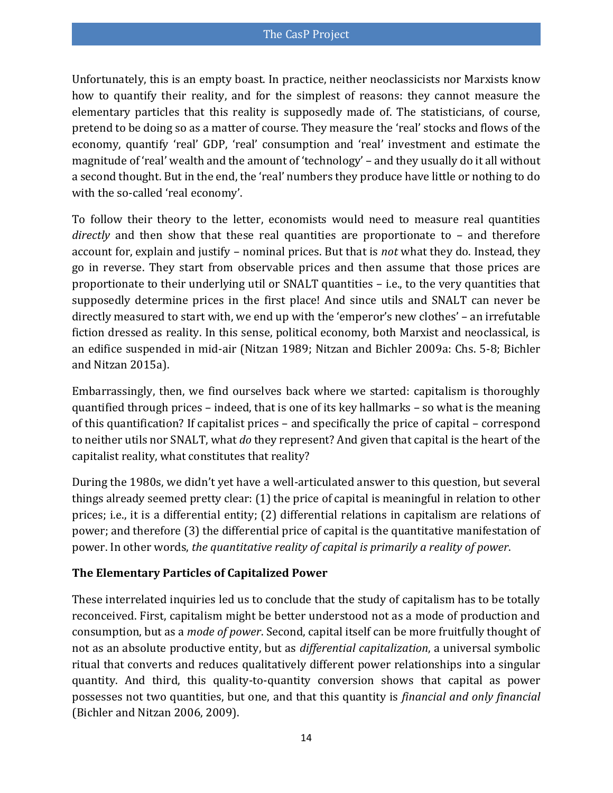Unfortunately, this is an empty boast. In practice, neither neoclassicists nor Marxists know how to quantify their reality, and for the simplest of reasons: they cannot measure the elementary particles that this reality is supposedly made of. The statisticians, of course, pretend to be doing so as a matter of course. They measure the 'real' stocks and flows of the economy, quantify 'real' GDP, 'real' consumption and 'real' investment and estimate the magnitude of 'real' wealth and the amount of 'technology' – and they usually do it all without a second thought. But in the end, the 'real' numbers they produce have little or nothing to do with the so-called 'real economy'.

To follow their theory to the letter, economists would need to measure real quantities *directly* and then show that these real quantities are proportionate to – and therefore account for, explain and justify – nominal prices. But that is *not* what they do. Instead, they go in reverse. They start from observable prices and then assume that those prices are proportionate to their underlying util or SNALT quantities – i.e., to the very quantities that supposedly determine prices in the first place! And since utils and SNALT can never be directly measured to start with, we end up with the 'emperor's new clothes' – an irrefutable fiction dressed as reality. In this sense, political economy, both Marxist and neoclassical, is an edifice suspended in mid-air [\(Nitzan 1989;](#page-36-7) [Nitzan and Bichler 2009a: Chs. 5-8;](#page-37-2) [Bichler](#page-32-4)  [and Nitzan 2015a\)](#page-32-4).

Embarrassingly, then, we find ourselves back where we started: capitalism is thoroughly quantified through prices – indeed, that is one of its key hallmarks – so what is the meaning of this quantification? If capitalist prices – and specifically the price of capital – correspond to neither utils nor SNALT, what *do* they represent? And given that capital is the heart of the capitalist reality, what constitutes that reality?

During the 1980s, we didn't yet have a well-articulated answer to this question, but several things already seemed pretty clear: (1) the price of capital is meaningful in relation to other prices; i.e., it is a differential entity; (2) differential relations in capitalism are relations of power; and therefore (3) the differential price of capital is the quantitative manifestation of power. In other words, *the quantitative reality of capital is primarily a reality of power*.

#### **The Elementary Particles of Capitalized Power**

These interrelated inquiries led us to conclude that the study of capitalism has to be totally reconceived. First, capitalism might be better understood not as a mode of production and consumption, but as a *mode of power*. Second, capital itself can be more fruitfully thought of not as an absolute productive entity, but as *differential capitalization*, a universal symbolic ritual that converts and reduces qualitatively different power relationships into a singular quantity. And third, this quality-to-quantity conversion shows that capital as power possesses not two quantities, but one, and that this quantity is *financial and only financial* [\(Bichler and Nitzan 2006,](#page-32-5) [2009\)](#page-32-6).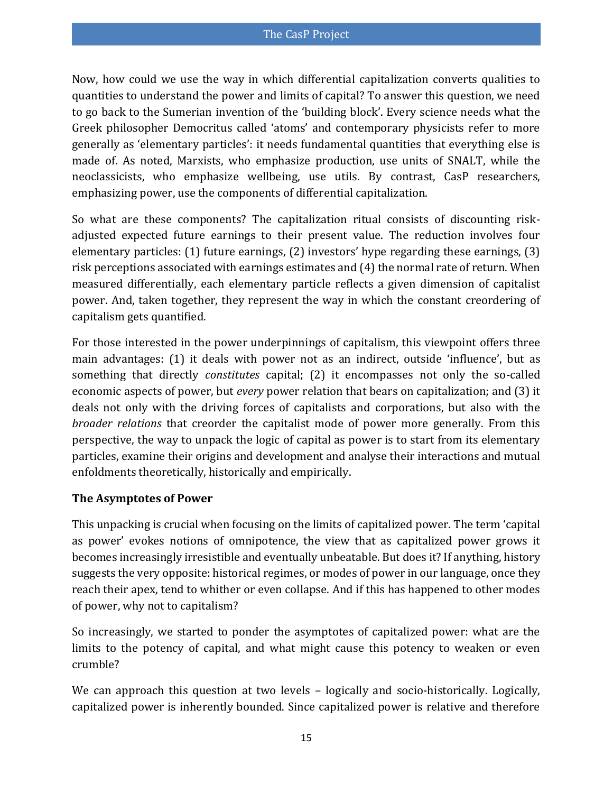Now, how could we use the way in which differential capitalization converts qualities to quantities to understand the power and limits of capital? To answer this question, we need to go back to the Sumerian invention of the 'building block'. Every science needs what the Greek philosopher Democritus called 'atoms' and contemporary physicists refer to more generally as 'elementary particles': it needs fundamental quantities that everything else is made of. As noted, Marxists, who emphasize production, use units of SNALT, while the neoclassicists, who emphasize wellbeing, use utils. By contrast, CasP researchers, emphasizing power, use the components of differential capitalization.

So what are these components? The capitalization ritual consists of discounting riskadjusted expected future earnings to their present value. The reduction involves four elementary particles: (1) future earnings, (2) investors' hype regarding these earnings, (3) risk perceptions associated with earnings estimates and (4) the normal rate of return. When measured differentially, each elementary particle reflects a given dimension of capitalist power. And, taken together, they represent the way in which the constant creordering of capitalism gets quantified.

For those interested in the power underpinnings of capitalism, this viewpoint offers three main advantages: (1) it deals with power not as an indirect, outside 'influence', but as something that directly *constitutes* capital; (2) it encompasses not only the so-called economic aspects of power, but *every* power relation that bears on capitalization; and (3) it deals not only with the driving forces of capitalists and corporations, but also with the *broader relations* that creorder the capitalist mode of power more generally. From this perspective, the way to unpack the logic of capital as power is to start from its elementary particles, examine their origins and development and analyse their interactions and mutual enfoldments theoretically, historically and empirically.

#### **The Asymptotes of Power**

This unpacking is crucial when focusing on the limits of capitalized power. The term 'capital as power' evokes notions of omnipotence, the view that as capitalized power grows it becomes increasingly irresistible and eventually unbeatable. But does it? If anything, history suggests the very opposite: historical regimes, or modes of power in our language, once they reach their apex, tend to whither or even collapse. And if this has happened to other modes of power, why not to capitalism?

So increasingly, we started to ponder the asymptotes of capitalized power: what are the limits to the potency of capital, and what might cause this potency to weaken or even crumble?

We can approach this question at two levels – logically and socio-historically. Logically, capitalized power is inherently bounded. Since capitalized power is relative and therefore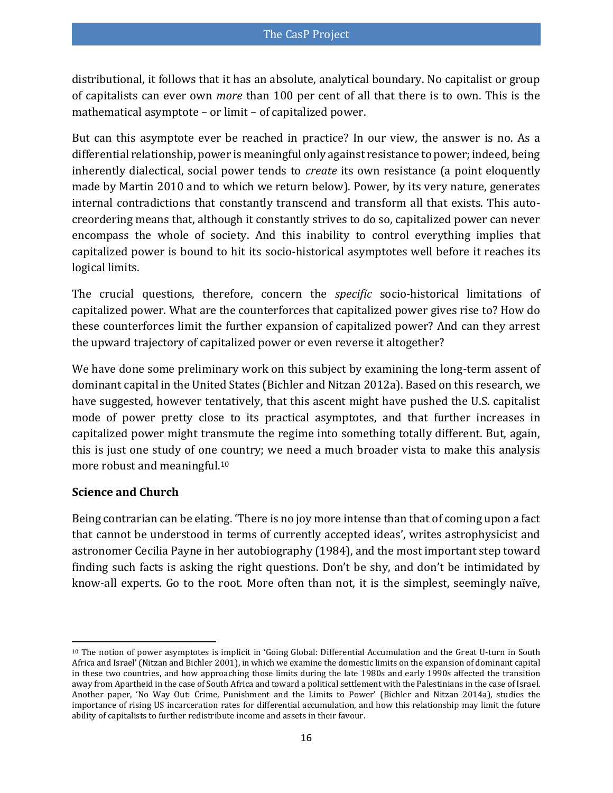distributional, it follows that it has an absolute, analytical boundary. No capitalist or group of capitalists can ever own *more* than 100 per cent of all that there is to own. This is the mathematical asymptote – or limit – of capitalized power.

But can this asymptote ever be reached in practice? In our view, the answer is no. As a differential relationship, power is meaningful only against resistance to power; indeed, being inherently dialectical, social power tends to *create* its own resistance [\(a point eloquently](#page-36-8)  [made by Martin 2010 and to which we return below\)](#page-36-8). Power, by its very nature, generates internal contradictions that constantly transcend and transform all that exists. This autocreordering means that, although it constantly strives to do so, capitalized power can never encompass the whole of society. And this inability to control everything implies that capitalized power is bound to hit its socio-historical asymptotes well before it reaches its logical limits.

The crucial questions, therefore, concern the *specific* socio-historical limitations of capitalized power. What are the counterforces that capitalized power gives rise to? How do these counterforces limit the further expansion of capitalized power? And can they arrest the upward trajectory of capitalized power or even reverse it altogether?

We have done some preliminary work on this subject by examining the long-term assent of dominant capital in the United States [\(Bichler and Nitzan 2012a\)](#page-32-7). Based on this research, we have suggested, however tentatively, that this ascent might have pushed the U.S. capitalist mode of power pretty close to its practical asymptotes, and that further increases in capitalized power might transmute the regime into something totally different. But, again, this is just one study of one country; we need a much broader vista to make this analysis more robust and meaningful.<sup>10</sup>

#### **Science and Church**

Being contrarian can be elating. 'There is no joy more intense than that of coming upon a fact that cannot be understood in terms of currently accepted ideas', writes astrophysicist and astronomer Cecilia Payne in her autobiography [\(1984\)](#page-37-6), and the most important step toward finding such facts is asking the right questions. Don't be shy, and don't be intimidated by know-all experts. Go to the root. More often than not, it is the simplest, seemingly naïve,

 $\overline{\phantom{a}}$ <sup>10</sup> The notion of power asymptotes is implicit in 'Going Global: Differential Accumulation and the Great U-turn in South Africa and Israel' [\(Nitzan and Bichler 2001\)](#page-36-9), in which we examine the domestic limits on the expansion of dominant capital in these two countries, and how approaching those limits during the late 1980s and early 1990s affected the transition away from Apartheid in the case of South Africa and toward a political settlement with the Palestinians in the case of Israel. Another paper, 'No Way Out: Crime, Punishment and the Limits to Power' [\(Bichler and Nitzan 2014a\)](#page-32-8), studies the importance of rising US incarceration rates for differential accumulation, and how this relationship may limit the future ability of capitalists to further redistribute income and assets in their favour.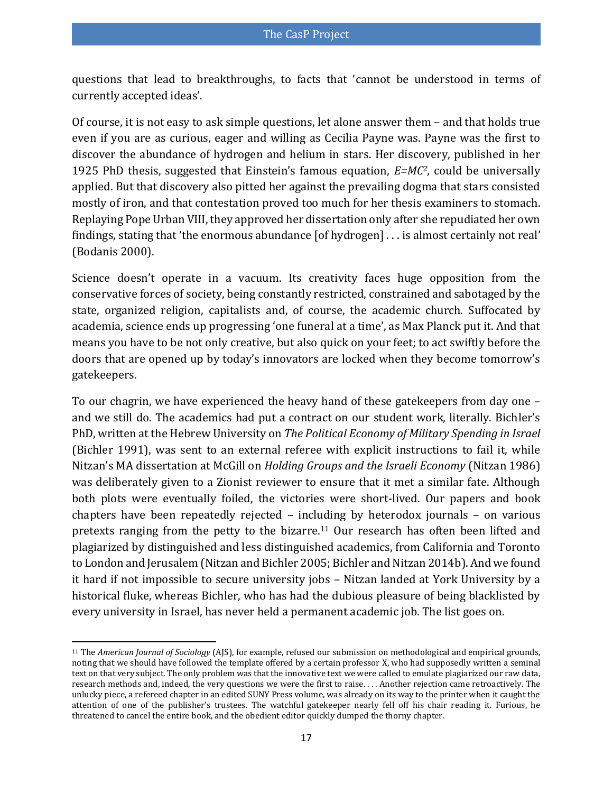questions that lead to breakthroughs, to facts that 'cannot be understood in terms of currently accepted ideas'.

Of course, it is not easy to ask simple questions, let alone answer them – and that holds true even if you are as curious, eager and willing as Cecilia Payne was. Payne was the first to discover the abundance of hydrogen and helium in stars. Her discovery, published in her 1925 PhD thesis, suggested that Einstein's famous equation, *E=MC2*, could be universally applied. But that discovery also pitted her against the prevailing dogma that stars consisted mostly of iron, and that contestation proved too much for her thesis examiners to stomach. Replaying Pope Urban VIII, they approved her dissertation only after she repudiated her own findings, stating that 'the enormous abundance [of hydrogen] . . . is almost certainly not real' [\(Bodanis 2000\)](#page-33-7).

Science doesn't operate in a vacuum. Its creativity faces huge opposition from the conservative forces of society, being constantly restricted, constrained and sabotaged by the state, organized religion, capitalists and, of course, the academic church. Suffocated by academia, science ends up progressing 'one funeral at a time', as Max Planck put it. And that means you have to be not only creative, but also quick on your feet; to act swiftly before the doors that are opened up by today's innovators are locked when they become tomorrow's gatekeepers.

To our chagrin, we have experienced the heavy hand of these gatekeepers from day one – and we still do. The academics had put a contract on our student work, literally. Bichler's PhD, written at the Hebrew University on *The Political Economy of Military Spending in Israel* [\(Bichler 1991\)](#page-31-2), was sent to an external referee with explicit instructions to fail it, while Nitzan's MA dissertation at McGill on *Holding Groups and the Israeli Economy* [\(Nitzan 1986\)](#page-36-2) was deliberately given to a Zionist reviewer to ensure that it met a similar fate. Although both plots were eventually foiled, the victories were short-lived. Our papers and book chapters have been repeatedly rejected – including by heterodox journals – on various pretexts ranging from the petty to the bizarre.<sup>11</sup> Our research has often been lifted and plagiarized by distinguished and less distinguished academics, from California and Toronto to London and Jerusalem [\(Nitzan and Bichler 2005;](#page-37-7) [Bichler and Nitzan 2014b\)](#page-32-9). And we found it hard if not impossible to secure university jobs – Nitzan landed at York University by a historical fluke, whereas Bichler, who has had the dubious pleasure of being blacklisted by every university in Israel, has never held a permanent academic job. The list goes on.

 $\overline{\phantom{a}}$ 

<sup>11</sup> The *American Journal of Sociology* (AJS), for example, refused our submission on methodological and empirical grounds, noting that we should have followed the template offered by a certain professor X, who had supposedly written a seminal text on that very subject. The only problem was that the innovative text we were called to emulate plagiarized our raw data, research methods and, indeed, the very questions we were the first to raise. . . . Another rejection came retroactively. The unlucky piece, a refereed chapter in an edited SUNY Press volume, was already on its way to the printer when it caught the attention of one of the publisher's trustees. The watchful gatekeeper nearly fell off his chair reading it. Furious, he threatened to cancel the entire book, and the obedient editor quickly dumped the thorny chapter.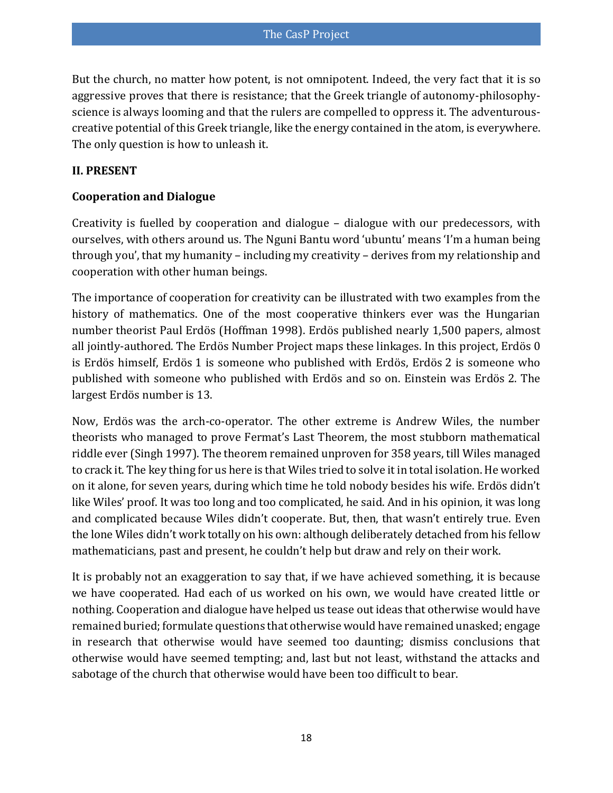But the church, no matter how potent, is not omnipotent. Indeed, the very fact that it is so aggressive proves that there is resistance; that the Greek triangle of autonomy-philosophyscience is always looming and that the rulers are compelled to oppress it. The adventurouscreative potential of this Greek triangle, like the energy contained in the atom, is everywhere. The only question is how to unleash it.

#### **II. PRESENT**

#### **Cooperation and Dialogue**

Creativity is fuelled by cooperation and dialogue – dialogue with our predecessors, with ourselves, with others around us. The Nguni Bantu word 'ubuntu' means 'I'm a human being through you', that my humanity – including my creativity – derives from my relationship and cooperation with other human beings.

The importance of cooperation for creativity can be illustrated with two examples from the history of mathematics. One of the most cooperative thinkers ever was the Hungarian number theorist Paul Erdös [\(Hoffman 1998\)](#page-35-9). Erdös published nearly 1,500 papers, almost all jointly-authored. The [Erdös Number Project](http://wwwp.oakland.edu/enp/) maps these linkages. In this project, Erdös 0 is Erdös himself, Erdös 1 is someone who published with Erdös, Erdös 2 is someone who published with someone who published with Erdös and so on. Einstein was Erdös 2. The largest Erdös number is 13.

Now, Erdös was the arch-co-operator. The other extreme is Andrew Wiles, the number theorists who managed to prove Fermat's Last Theorem, the most stubborn mathematical riddle ever [\(Singh 1997\)](#page-38-5). The theorem remained unproven for 358 years, till Wiles managed to crack it. The key thing for us here is that Wiles tried to solve it in total isolation. He worked on it alone, for seven years, during which time he told nobody besides his wife. Erdös didn't like Wiles' proof. It was too long and too complicated, he said. And in his opinion, it was long and complicated because Wiles didn't cooperate. But, then, that wasn't entirely true. Even the lone Wiles didn't work totally on his own: although deliberately detached from his fellow mathematicians, past and present, he couldn't help but draw and rely on their work.

It is probably not an exaggeration to say that, if we have achieved something, it is because we have cooperated. Had each of us worked on his own, we would have created little or nothing. Cooperation and dialogue have helped us tease out ideas that otherwise would have remained buried; formulate questions that otherwise would have remained unasked; engage in research that otherwise would have seemed too daunting; dismiss conclusions that otherwise would have seemed tempting; and, last but not least, withstand the attacks and sabotage of the church that otherwise would have been too difficult to bear.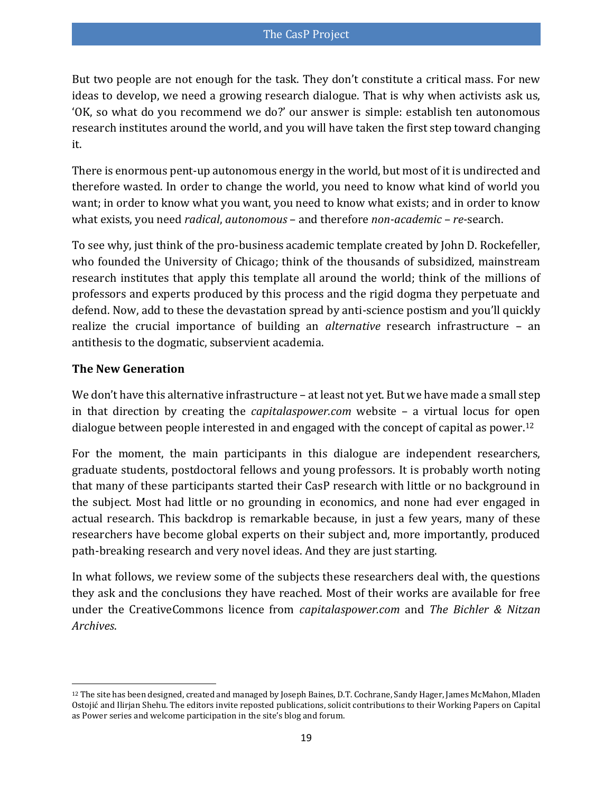But two people are not enough for the task. They don't constitute a critical mass. For new ideas to develop, we need a growing research dialogue. That is why when activists ask us, 'OK, so what do you recommend we do?' our answer is simple: establish ten autonomous research institutes around the world, and you will have taken the first step toward changing it.

There is enormous pent-up autonomous energy in the world, but most of it is undirected and therefore wasted. In order to change the world, you need to know what kind of world you want; in order to know what you want, you need to know what exists; and in order to know what exists, you need *radical*, *autonomous* – and therefore *non-academic* – *re-*search.

To see why, just think of the pro-business academic template created by John D. Rockefeller, who founded the University of Chicago; think of the thousands of subsidized, mainstream research institutes that apply this template all around the world; think of the millions of professors and experts produced by this process and the rigid dogma they perpetuate and defend. Now, add to these the devastation spread by anti-science postism and you'll quickly realize the crucial importance of building an *alternative* research infrastructure – an antithesis to the dogmatic, subservient academia.

#### **The New Generation**

 $\overline{a}$ 

We don't have this alternative infrastructure – at least not yet. But we have made a small step in that direction by creating the *[capitalaspower.com](http://capitalaspower.com/)* website – a virtual locus for open dialogue between people interested in and engaged with the concept of capital as power.<sup>12</sup>

For the moment, the main participants in this dialogue are independent researchers, graduate students, postdoctoral fellows and young professors. It is probably worth noting that many of these participants started their CasP research with little or no background in the subject. Most had little or no grounding in economics, and none had ever engaged in actual research. This backdrop is remarkable because, in just a few years, many of these researchers have become global experts on their subject and, more importantly, produced path-breaking research and very novel ideas. And they are just starting.

In what follows, we review some of the subjects these researchers deal with, the questions they ask and the conclusions they have reached. Most of their works are available for free under the CreativeCommons licence from *[capitalaspower.com](http://capitalaspower.com/)* and *[The Bichler & Nitzan](http://bnarchives.net/)  [Archives](http://bnarchives.net/)*.

<sup>12</sup> The site has been designed, created and managed by Joseph Baines, D.T. Cochrane, Sandy Hager, James McMahon, Mladen Ostojić and Ilirjan Shehu. The editors invite reposte[d publications,](http://www.capitalaspower.com/category/publications/) solicit contributions to thei[r Working Papers on Capital](http://www.capitalaspower.com/category/working-papers/)  [as Power](http://www.capitalaspower.com/category/working-papers/) series and welcome participation in the site's [blog a](http://www.capitalaspower.com/category/blog/)n[d forum.](http://www.capitalaspower.com/forum/)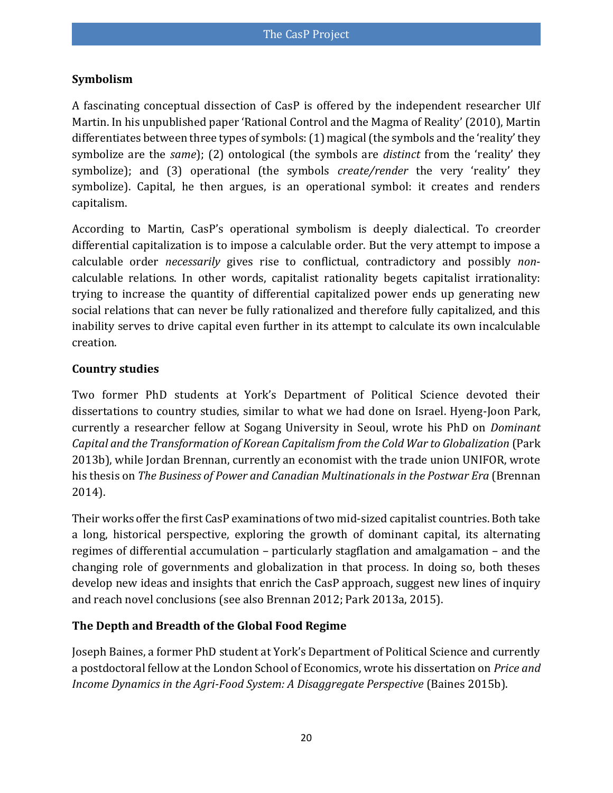#### **Symbolism**

A fascinating conceptual dissection of CasP is offered by the independent researcher Ulf Martin. In his unpublished paper 'Rational Control and the Magma of Reality' [\(2010\)](#page-36-8), Martin differentiates between three types of symbols: (1) magical (the symbols and the 'reality' they symbolize are the *same*); (2) ontological (the symbols are *distinct* from the 'reality' they symbolize); and (3) operational (the symbols *create/render* the very 'reality' they symbolize). Capital, he then argues, is an operational symbol: it creates and renders capitalism.

According to Martin, CasP's operational symbolism is deeply dialectical. To creorder differential capitalization is to impose a calculable order. But the very attempt to impose a calculable order *necessarily* gives rise to conflictual, contradictory and possibly *non*calculable relations. In other words, capitalist rationality begets capitalist irrationality: trying to increase the quantity of differential capitalized power ends up generating new social relations that can never be fully rationalized and therefore fully capitalized, and this inability serves to drive capital even further in its attempt to calculate its own incalculable creation.

#### **Country studies**

Two former PhD students at York's Department of Political Science devoted their dissertations to country studies, similar to what we had done on Israel. Hyeng-Joon Park, currently a researcher fellow at Sogang University in Seoul, wrote his PhD on *Dominant Capital and the Transformation of Korean Capitalism from the Cold War to Globalization* [\(Park](#page-37-8)  [2013b\)](#page-37-8), while Jordan Brennan, currently an economist with the trade union UNIFOR, wrote his thesis on *The Business of Power and Canadian Multinationals in the Postwar Era* [\(Brennan](#page-33-8)  [2014\)](#page-33-8).

Their works offer the first CasP examinations of two mid-sized capitalist countries. Both take a long, historical perspective, exploring the growth of dominant capital, its alternating regimes of differential accumulation – particularly stagflation and amalgamation – and the changing role of governments and globalization in that process. In doing so, both theses develop new ideas and insights that enrich the CasP approach, suggest new lines of inquiry and reach novel conclusions (see also [Brennan 2012;](#page-33-9) [Park 2013a,](#page-37-9) [2015\)](#page-37-10).

#### **The Depth and Breadth of the Global Food Regime**

Joseph Baines, a former PhD student at York's Department of Political Science and currently a postdoctoral fellow at the London School of Economics, wrote his dissertation on *Price and Income Dynamics in the Agri-Food System: A Disaggregate Perspective* [\(Baines 2015b\)](#page-31-4).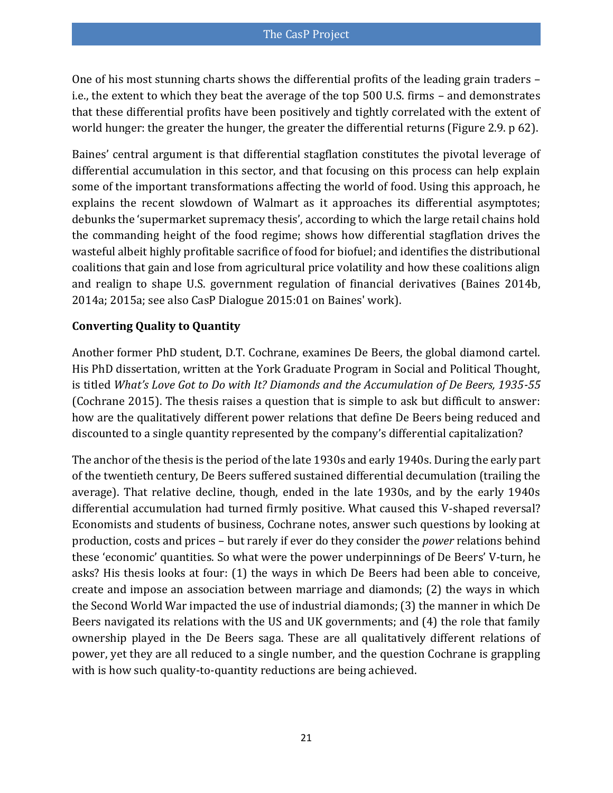One of his most stunning charts shows the differential profits of the leading grain traders – i.e., the extent to which they beat the average of the top 500 U.S. firms – and demonstrates that these differential profits have been positively and tightly correlated with the extent of world hunger: the greater the hunger, the greater the differential returns (Figure 2.9. p 62).

Baines' central argument is that differential stagflation constitutes the pivotal leverage of differential accumulation in this sector, and that focusing on this process can help explain some of the important transformations affecting the world of food. Using this approach, he explains the recent slowdown of Walmart as it approaches its differential asymptotes; debunks the 'supermarket supremacy thesis', according to which the large retail chains hold the commanding height of the food regime; shows how differential stagflation drives the wasteful albeit highly profitable sacrifice of food for biofuel; and identifies the distributional coalitions that gain and lose from agricultural price volatility and how these coalitions align and realign to shape U.S. government regulation of financial derivatives [\(Baines 2014b,](#page-31-5) [2014a;](#page-31-6) [2015a; see also CasP Dialogue 2015:01 on Baines' work\)](#page-31-7).

#### **Converting Quality to Quantity**

Another former PhD student, D.T. Cochrane, examines De Beers, the global diamond cartel. His PhD dissertation, written at the York Graduate Program in Social and Political Thought, is titled *What's Love Got to Do with It? Diamonds and the Accumulation of De Beers, 1935-55* [\(Cochrane 2015\)](#page-33-10). The thesis raises a question that is simple to ask but difficult to answer: how are the qualitatively different power relations that define De Beers being reduced and discounted to a single quantity represented by the company's differential capitalization?

The anchor of the thesis is the period of the late 1930s and early 1940s. During the early part of the twentieth century, De Beers suffered sustained differential decumulation (trailing the average). That relative decline, though, ended in the late 1930s, and by the early 1940s differential accumulation had turned firmly positive. What caused this V-shaped reversal? Economists and students of business, Cochrane notes, answer such questions by looking at production, costs and prices – but rarely if ever do they consider the *power* relations behind these 'economic' quantities. So what were the power underpinnings of De Beers' V-turn, he asks? His thesis looks at four: (1) the ways in which De Beers had been able to conceive, create and impose an association between marriage and diamonds; (2) the ways in which the Second World War impacted the use of industrial diamonds; (3) the manner in which De Beers navigated its relations with the US and UK governments; and (4) the role that family ownership played in the De Beers saga. These are all qualitatively different relations of power, yet they are all reduced to a single number, and the question Cochrane is grappling with is how such quality-to-quantity reductions are being achieved.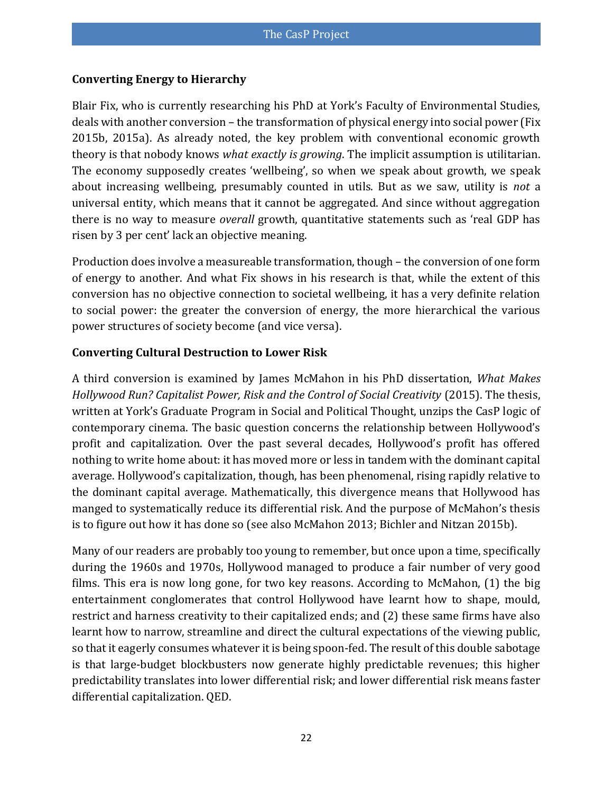#### **Converting Energy to Hierarchy**

Blair Fix, who is currently researching his PhD at York's Faculty of Environmental Studies, deals with another conversion – the transformation of physical energy into social power [\(Fix](#page-34-2)  [2015b,](#page-34-2) [2015a\)](#page-34-3). As already noted, the key problem with conventional economic growth theory is that nobody knows *what exactly is growing*. The implicit assumption is utilitarian. The economy supposedly creates 'wellbeing', so when we speak about growth, we speak about increasing wellbeing, presumably counted in utils. But as we saw, utility is *not* a universal entity, which means that it cannot be aggregated. And since without aggregation there is no way to measure *overall* growth, quantitative statements such as 'real GDP has risen by 3 per cent' lack an objective meaning.

Production does involve a measureable transformation, though – the conversion of one form of energy to another. And what Fix shows in his research is that, while the extent of this conversion has no objective connection to societal wellbeing, it has a very definite relation to social power: the greater the conversion of energy, the more hierarchical the various power structures of society become (and vice versa).

#### **Converting Cultural Destruction to Lower Risk**

A third conversion is examined by James McMahon in his PhD dissertation, *What Makes Hollywood Run? Capitalist Power, Risk and the Control of Social Creativity* [\(2015\)](#page-36-10). The thesis, written at York's Graduate Program in Social and Political Thought, unzips the CasP logic of contemporary cinema. The basic question concerns the relationship between Hollywood's profit and capitalization. Over the past several decades, Hollywood's profit has offered nothing to write home about: it has moved more or less in tandem with the dominant capital average. Hollywood's capitalization, though, has been phenomenal, rising rapidly relative to the dominant capital average. Mathematically, this divergence means that Hollywood has manged to systematically reduce its differential risk. And the purpose of McMahon's thesis is to figure out how it has done so (see also [McMahon 2013;](#page-36-11) [Bichler and Nitzan 2015b\)](#page-32-10).

Many of our readers are probably too young to remember, but once upon a time, specifically during the 1960s and 1970s, Hollywood managed to produce a fair number of very good films. This era is now long gone, for two key reasons. According to McMahon, (1) the big entertainment conglomerates that control Hollywood have learnt how to shape, mould, restrict and harness creativity to their capitalized ends; and (2) these same firms have also learnt how to narrow, streamline and direct the cultural expectations of the viewing public, so that it eagerly consumes whatever it is being spoon-fed. The result of this double sabotage is that large-budget blockbusters now generate highly predictable revenues; this higher predictability translates into lower differential risk; and lower differential risk means faster differential capitalization. QED.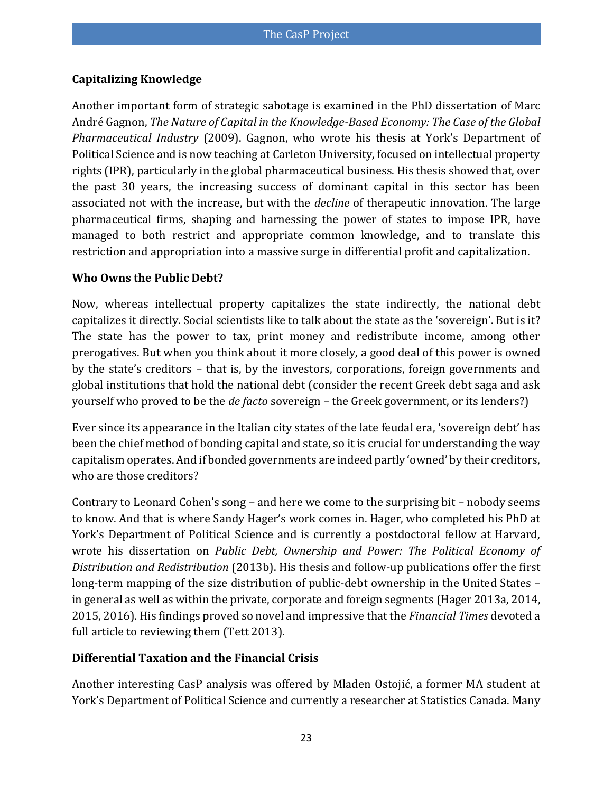#### **Capitalizing Knowledge**

Another important form of strategic sabotage is examined in the PhD dissertation of Marc André Gagnon, *The Nature of Capital in the Knowledge-Based Economy: The Case of the Global Pharmaceutical Industry* [\(2009\)](#page-34-4). Gagnon, who wrote his thesis at York's Department of Political Science and is now teaching at Carleton University, focused on intellectual property rights (IPR), particularly in the global pharmaceutical business. His thesis showed that, over the past 30 years, the increasing success of dominant capital in this sector has been associated not with the increase, but with the *decline* of therapeutic innovation. The large pharmaceutical firms, shaping and harnessing the power of states to impose IPR, have managed to both restrict and appropriate common knowledge, and to translate this restriction and appropriation into a massive surge in differential profit and capitalization.

#### **Who Owns the Public Debt?**

Now, whereas intellectual property capitalizes the state indirectly, the national debt capitalizes it directly. Social scientists like to talk about the state as the 'sovereign'. But is it? The state has the power to tax, print money and redistribute income, among other prerogatives. But when you think about it more closely, a good deal of this power is owned by the state's creditors – that is, by the investors, corporations, foreign governments and global institutions that hold the national debt (consider the recent Greek debt saga and ask yourself who proved to be the *de facto* sovereign – the Greek government, or its lenders?)

Ever since its appearance in the Italian city states of the late feudal era, 'sovereign debt' has been the chief method of bonding capital and state, so it is crucial for understanding the way capitalism operates. And if bonded governments are indeed partly 'owned' by their creditors, who are those creditors?

Contrary to Leonard Cohen's song – and here we come to the surprising bit – nobody seems to know. And that is where Sandy Hager's work comes in. Hager, who completed his PhD at York's Department of Political Science and is currently a postdoctoral fellow at Harvard, wrote his dissertation on *Public Debt, Ownership and Power: The Political Economy of Distribution and Redistribution* [\(2013b\)](#page-34-5). His thesis and follow-up publications offer the first long-term mapping of the size distribution of public-debt ownership in the United States – in general as well as within the private, corporate and foreign segments [\(Hager 2013a,](#page-34-6) [2014,](#page-34-7) [2015,](#page-35-10) [2016\)](#page-35-11). His findings proved so novel and impressive that the *Financial Times* devoted a full article to reviewing them [\(Tett 2013\)](#page-38-6).

#### **Differential Taxation and the Financial Crisis**

Another interesting CasP analysis was offered by Mladen Ostojić, a former MA student at York's Department of Political Science and currently a researcher at Statistics Canada. Many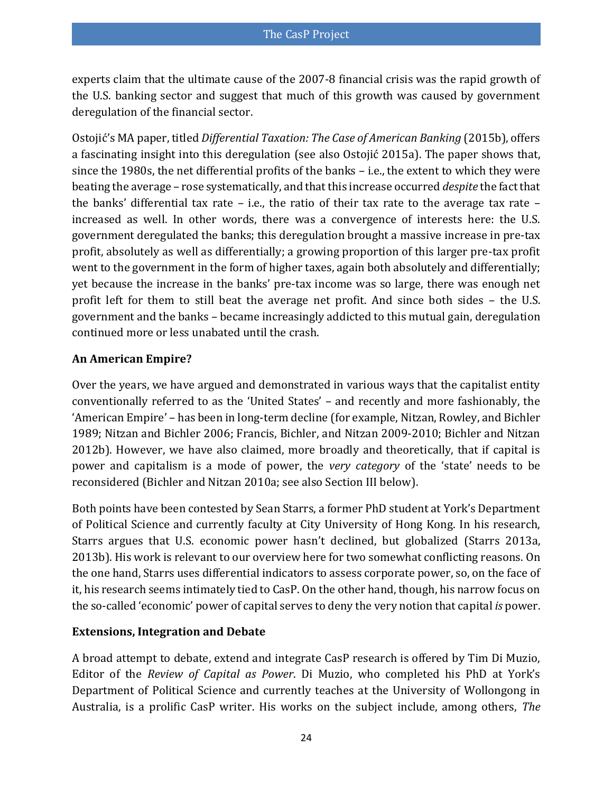experts claim that the ultimate cause of the 2007-8 financial crisis was the rapid growth of the U.S. banking sector and suggest that much of this growth was caused by government deregulation of the financial sector.

Ostojić's MA paper, titled *Differential Taxation: The Case of American Banking* [\(2015b\)](#page-37-11), offers a fascinating insight into this deregulation ([see also Ostojić 2015a](#page-37-12)). The paper shows that, since the 1980s, the net differential profits of the banks – i.e., the extent to which they were beating the average – rose systematically, and that this increase occurred *despite* the fact that the banks' differential tax rate  $-$  i.e., the ratio of their tax rate to the average tax rate  $$ increased as well. In other words, there was a convergence of interests here: the U.S. government deregulated the banks; this deregulation brought a massive increase in pre-tax profit, absolutely as well as differentially; a growing proportion of this larger pre-tax profit went to the government in the form of higher taxes, again both absolutely and differentially; yet because the increase in the banks' pre-tax income was so large, there was enough net profit left for them to still beat the average net profit. And since both sides – the U.S. government and the banks – became increasingly addicted to this mutual gain, deregulation continued more or less unabated until the crash.

#### **An American Empire?**

Over the years, we have argued and demonstrated in various ways that the capitalist entity conventionally referred to as the 'United States' – and recently and more fashionably, the 'American Empire' – has been in long-term decline (for example, [Nitzan, Rowley, and Bichler](#page-37-3)  [1989;](#page-37-3) [Nitzan and Bichler 2006;](#page-37-5) [Francis, Bichler, and Nitzan 2009-2010;](#page-34-8) [Bichler and Nitzan](#page-32-11)  [2012b\)](#page-32-11). However, we have also claimed, more broadly and theoretically, that if capital is power and capitalism is a mode of power, the *very category* of the 'state' needs to be reconsidered [\(Bichler and Nitzan 2010a; see also Section III below\)](#page-32-12).

Both points have been contested by Sean Starrs, a former PhD student at York's Department of Political Science and currently faculty at City University of Hong Kong. In his research, Starrs argues that U.S. economic power hasn't declined, but globalized [\(Starrs 2013a,](#page-38-7) [2013b\)](#page-38-8). His work is relevant to our overview here for two somewhat conflicting reasons. On the one hand, Starrs uses differential indicators to assess corporate power, so, on the face of it, his research seems intimately tied to CasP. On the other hand, though, his narrow focus on the so-called 'economic' power of capital serves to deny the very notion that capital *is* power.

#### **Extensions, Integration and Debate**

A broad attempt to debate, extend and integrate CasP research is offered by Tim Di Muzio, Editor of the *[Review of Capital as Power](http://www.recasp.com/)*. Di Muzio, who completed his PhD at York's Department of Political Science and currently teaches at the University of Wollongong in Australia, is a prolific CasP writer. His works on the subject include, among others, *The*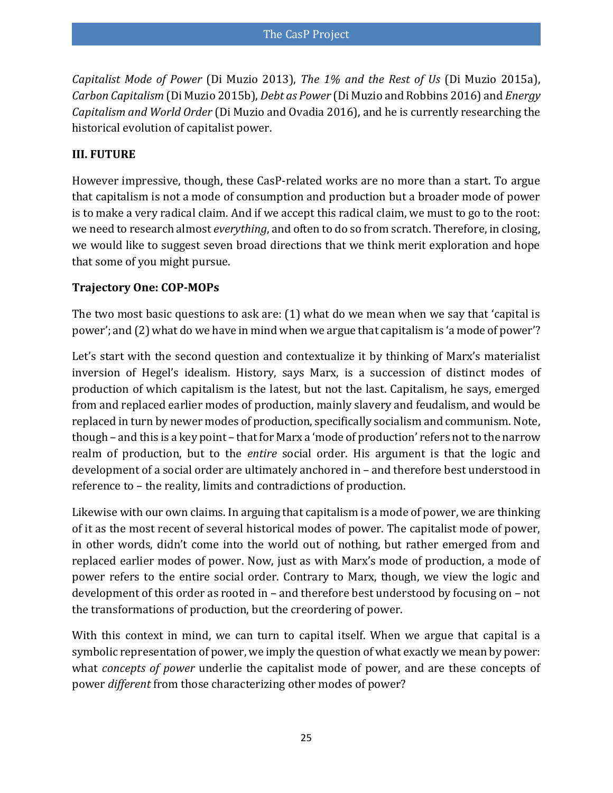*Capitalist Mode of Power* [\(Di Muzio 2013\)](#page-33-11), *The 1% and the Rest of Us* [\(Di Muzio 2015a\)](#page-34-9), *Carbon Capitalism* [\(Di Muzio 2015b\)](#page-34-10), *Debt as Power* [\(Di Muzio and Robbins 2016\)](#page-34-11) and *Energy Capitalism and World Order* [\(Di Muzio and Ovadia 2016\)](#page-34-12), and he is currently researching the historical evolution of capitalist power.

#### **III. FUTURE**

However impressive, though, these CasP-related works are no more than a start. To argue that capitalism is not a mode of consumption and production but a broader mode of power is to make a very radical claim. And if we accept this radical claim, we must to go to the root: we need to research almost *everything*, and often to do so from scratch. Therefore, in closing, we would like to suggest seven broad directions that we think merit exploration and hope that some of you might pursue.

#### **Trajectory One: COP-MOPs**

The two most basic questions to ask are: (1) what do we mean when we say that 'capital is power'; and (2) what do we have in mind when we argue that capitalism is 'a mode of power'?

Let's start with the second question and contextualize it by thinking of Marx's materialist inversion of Hegel's idealism. History, says Marx, is a succession of distinct modes of production of which capitalism is the latest, but not the last. Capitalism, he says, emerged from and replaced earlier modes of production, mainly slavery and feudalism, and would be replaced in turn by newer modes of production, specifically socialism and communism. Note, though – and this is a key point – that for Marx a 'mode of production' refers not to the narrow realm of production, but to the *entire* social order. His argument is that the logic and development of a social order are ultimately anchored in – and therefore best understood in reference to – the reality, limits and contradictions of production.

Likewise with our own claims. In arguing that capitalism is a mode of power, we are thinking of it as the most recent of several historical modes of power. The capitalist mode of power, in other words, didn't come into the world out of nothing, but rather emerged from and replaced earlier modes of power. Now, just as with Marx's mode of production, a mode of power refers to the entire social order. Contrary to Marx, though, we view the logic and development of this order as rooted in – and therefore best understood by focusing on – not the transformations of production, but the creordering of power.

With this context in mind, we can turn to capital itself. When we argue that capital is a symbolic representation of power, we imply the question of what exactly we mean by power: what *concepts of power* underlie the capitalist mode of power, and are these concepts of power *different* from those characterizing other modes of power?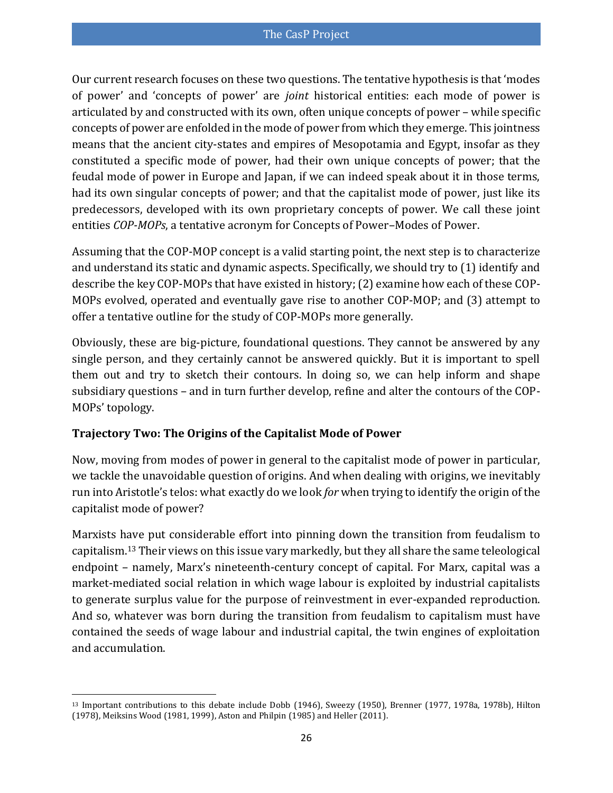Our current research focuses on these two questions. The tentative hypothesis is that 'modes of power' and 'concepts of power' are *joint* historical entities: each mode of power is articulated by and constructed with its own, often unique concepts of power – while specific concepts of power are enfolded in the mode of power from which they emerge. This jointness means that the ancient city-states and empires of Mesopotamia and Egypt, insofar as they constituted a specific mode of power, had their own unique concepts of power; that the feudal mode of power in Europe and Japan, if we can indeed speak about it in those terms, had its own singular concepts of power; and that the capitalist mode of power, just like its predecessors, developed with its own proprietary concepts of power. We call these joint entities *COP-MOPs*, a tentative acronym for Concepts of Power–Modes of Power.

Assuming that the COP-MOP concept is a valid starting point, the next step is to characterize and understand its static and dynamic aspects. Specifically, we should try to (1) identify and describe the key COP-MOPs that have existed in history; (2) examine how each of these COP-MOPs evolved, operated and eventually gave rise to another COP-MOP; and (3) attempt to offer a tentative outline for the study of COP-MOPs more generally.

Obviously, these are big-picture, foundational questions. They cannot be answered by any single person, and they certainly cannot be answered quickly. But it is important to spell them out and try to sketch their contours. In doing so, we can help inform and shape subsidiary questions – and in turn further develop, refine and alter the contours of the COP-MOPs' topology.

#### **Trajectory Two: The Origins of the Capitalist Mode of Power**

Now, moving from modes of power in general to the capitalist mode of power in particular, we tackle the unavoidable question of origins. And when dealing with origins, we inevitably run into Aristotle's telos: what exactly do we look *for* when trying to identify the origin of the capitalist mode of power?

Marxists have put considerable effort into pinning down the transition from feudalism to capitalism.<sup>13</sup> Their views on this issue vary markedly, but they all share the same teleological endpoint – namely, Marx's nineteenth-century concept of capital. For Marx, capital was a market-mediated social relation in which wage labour is exploited by industrial capitalists to generate surplus value for the purpose of reinvestment in ever-expanded reproduction. And so, whatever was born during the transition from feudalism to capitalism must have contained the seeds of wage labour and industrial capital, the twin engines of exploitation and accumulation.

l <sup>13</sup> Important contributions to this debate include Dobb [\(1946\)](#page-34-13), Sweezy [\(1950\)](#page-38-9), Brenner [\(1977,](#page-33-12) [1978a,](#page-33-13) [1978b\)](#page-33-14), Hilton [\(1978\)](#page-35-12), Meiksins Wood [\(1981,](#page-36-12) [1999\)](#page-36-13), Aston and Philpin [\(1985\)](#page-31-8) and Heller [\(2011\)](#page-35-13).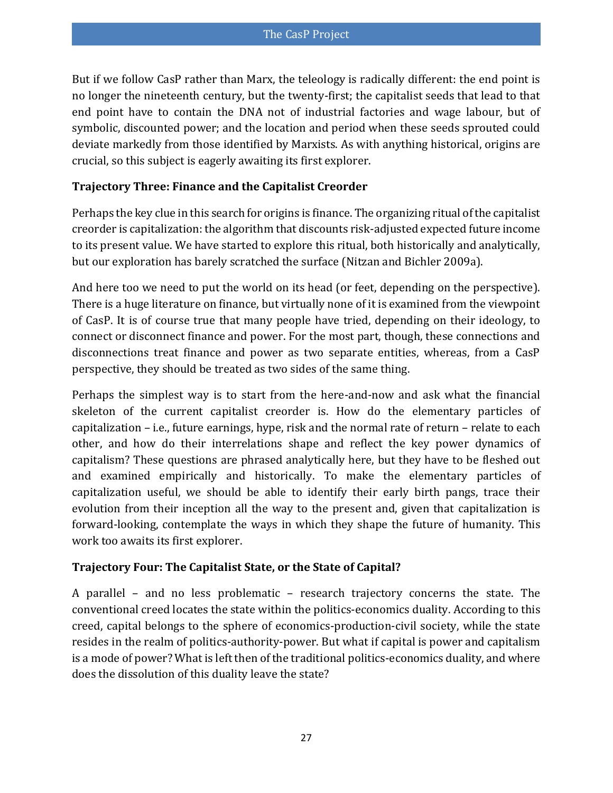But if we follow CasP rather than Marx, the teleology is radically different: the end point is no longer the nineteenth century, but the twenty-first; the capitalist seeds that lead to that end point have to contain the DNA not of industrial factories and wage labour, but of symbolic, discounted power; and the location and period when these seeds sprouted could deviate markedly from those identified by Marxists. As with anything historical, origins are crucial, so this subject is eagerly awaiting its first explorer.

#### **Trajectory Three: Finance and the Capitalist Creorder**

Perhaps the key clue in this search for origins is finance. The organizing ritual of the capitalist creorder is capitalization: the algorithm that discounts risk-adjusted expected future income to its present value. We have started to explore this ritual, both historically and analytically, but our exploration has barely scratched the surface [\(Nitzan and Bichler 2009a\)](#page-37-2).

And here too we need to put the world on its head (or feet, depending on the perspective). There is a huge literature on finance, but virtually none of it is examined from the viewpoint of CasP. It is of course true that many people have tried, depending on their ideology, to connect or disconnect finance and power. For the most part, though, these connections and disconnections treat finance and power as two separate entities, whereas, from a CasP perspective, they should be treated as two sides of the same thing.

Perhaps the simplest way is to start from the here-and-now and ask what the financial skeleton of the current capitalist creorder is. How do the elementary particles of capitalization – i.e., future earnings, hype, risk and the normal rate of return – relate to each other, and how do their interrelations shape and reflect the key power dynamics of capitalism? These questions are phrased analytically here, but they have to be fleshed out and examined empirically and historically. To make the elementary particles of capitalization useful, we should be able to identify their early birth pangs, trace their evolution from their inception all the way to the present and, given that capitalization is forward-looking, contemplate the ways in which they shape the future of humanity. This work too awaits its first explorer.

#### **Trajectory Four: The Capitalist State, or the State of Capital?**

A parallel – and no less problematic – research trajectory concerns the state. The conventional creed locates the state within the politics-economics duality. According to this creed, capital belongs to the sphere of economics-production-civil society, while the state resides in the realm of politics-authority-power. But what if capital is power and capitalism is a mode of power? What is left then of the traditional politics-economics duality, and where does the dissolution of this duality leave the state?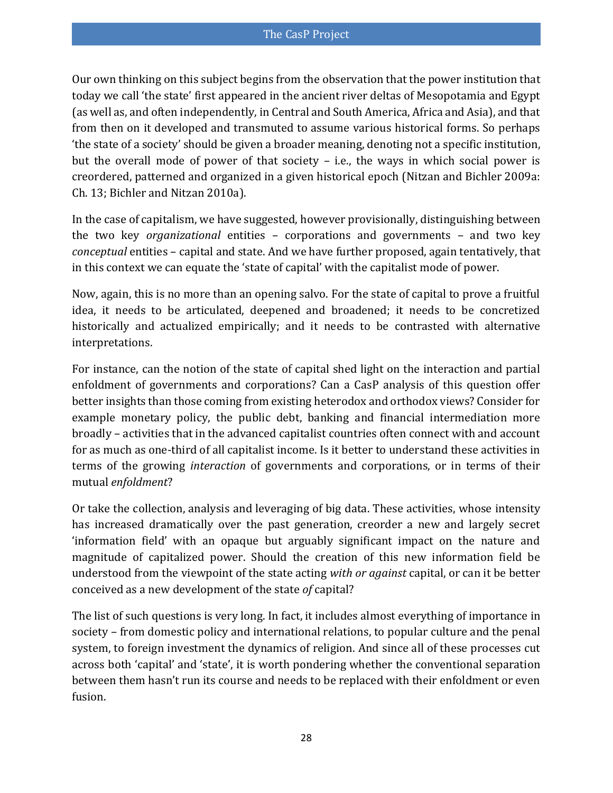Our own thinking on this subject begins from the observation that the power institution that today we call 'the state' first appeared in the ancient river deltas of Mesopotamia and Egypt (as well as, and often independently, in Central and South America, Africa and Asia), and that from then on it developed and transmuted to assume various historical forms. So perhaps 'the state of a society' should be given a broader meaning, denoting not a specific institution, but the overall mode of power of that society – i.e., the ways in which social power is creordered, patterned and organized in a given historical epoch [\(Nitzan and Bichler 2009a:](#page-37-2)  [Ch. 13;](#page-37-2) [Bichler and Nitzan 2010a\)](#page-32-12).

In the case of capitalism, we have suggested, however provisionally, distinguishing between the two key *organizational* entities – corporations and governments – and two key *conceptual* entities – capital and state. And we have further proposed, again tentatively, that in this context we can equate the 'state of capital' with the capitalist mode of power.

Now, again, this is no more than an opening salvo. For the state of capital to prove a fruitful idea, it needs to be articulated, deepened and broadened; it needs to be concretized historically and actualized empirically; and it needs to be contrasted with alternative interpretations.

For instance, can the notion of the state of capital shed light on the interaction and partial enfoldment of governments and corporations? Can a CasP analysis of this question offer better insights than those coming from existing heterodox and orthodox views? Consider for example monetary policy, the public debt, banking and financial intermediation more broadly – activities that in the advanced capitalist countries often connect with and account for as much as one-third of all capitalist income. Is it better to understand these activities in terms of the growing *interaction* of governments and corporations, or in terms of their mutual *enfoldment*?

Or take the collection, analysis and leveraging of big data. These activities, whose intensity has increased dramatically over the past generation, creorder a new and largely secret 'information field' with an opaque but arguably significant impact on the nature and magnitude of capitalized power. Should the creation of this new information field be understood from the viewpoint of the state acting *with or against* capital, or can it be better conceived as a new development of the state *of* capital?

The list of such questions is very long. In fact, it includes almost everything of importance in society – from domestic policy and international relations, to popular culture and the penal system, to foreign investment the dynamics of religion. And since all of these processes cut across both 'capital' and 'state', it is worth pondering whether the conventional separation between them hasn't run its course and needs to be replaced with their enfoldment or even fusion.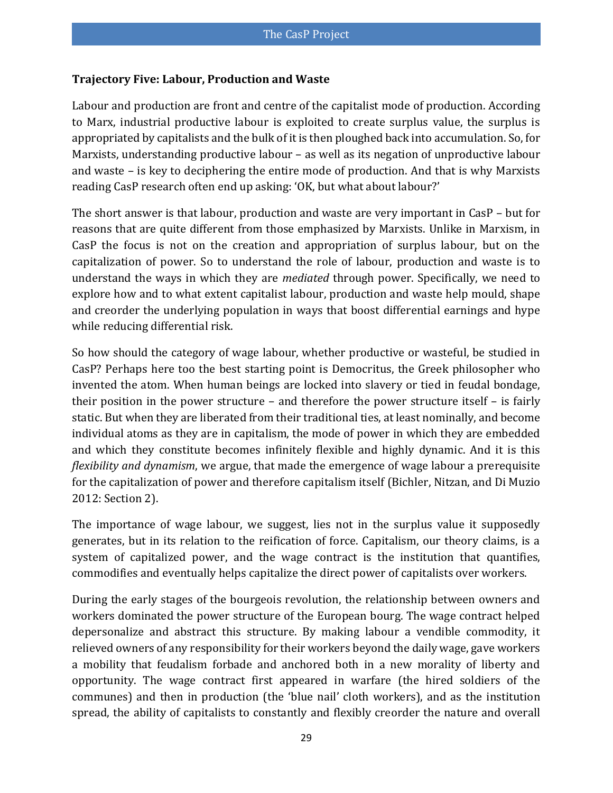#### **Trajectory Five: Labour, Production and Waste**

Labour and production are front and centre of the capitalist mode of production. According to Marx, industrial productive labour is exploited to create surplus value, the surplus is appropriated by capitalists and the bulk of it is then ploughed back into accumulation. So, for Marxists, understanding productive labour – as well as its negation of unproductive labour and waste – is key to deciphering the entire mode of production. And that is why Marxists reading CasP research often end up asking: 'OK, but what about labour?'

The short answer is that labour, production and waste are very important in CasP – but for reasons that are quite different from those emphasized by Marxists. Unlike in Marxism, in CasP the focus is not on the creation and appropriation of surplus labour, but on the capitalization of power. So to understand the role of labour, production and waste is to understand the ways in which they are *mediated* through power. Specifically, we need to explore how and to what extent capitalist labour, production and waste help mould, shape and creorder the underlying population in ways that boost differential earnings and hype while reducing differential risk.

So how should the category of wage labour, whether productive or wasteful, be studied in CasP? Perhaps here too the best starting point is Democritus, the Greek philosopher who invented the atom. When human beings are locked into slavery or tied in feudal bondage, their position in the power structure – and therefore the power structure itself – is fairly static. But when they are liberated from their traditional ties, at least nominally, and become individual atoms as they are in capitalism, the mode of power in which they are embedded and which they constitute becomes infinitely flexible and highly dynamic. And it is this *flexibility and dynamism*, we argue, that made the emergence of wage labour a prerequisite for the capitalization of power and therefore capitalism itself [\(Bichler, Nitzan, and Di Muzio](#page-32-13)  [2012: Section 2\)](#page-32-13).

The importance of wage labour, we suggest, lies not in the surplus value it supposedly generates, but in its relation to the reification of force. Capitalism, our theory claims, is a system of capitalized power, and the wage contract is the institution that quantifies, commodifies and eventually helps capitalize the direct power of capitalists over workers.

During the early stages of the bourgeois revolution, the relationship between owners and workers dominated the power structure of the European bourg. The wage contract helped depersonalize and abstract this structure. By making labour a vendible commodity, it relieved owners of any responsibility for their workers beyond the daily wage, gave workers a mobility that feudalism forbade and anchored both in a new morality of liberty and opportunity. The wage contract first appeared in warfare (the hired soldiers of the communes) and then in production (the 'blue nail' cloth workers), and as the institution spread, the ability of capitalists to constantly and flexibly creorder the nature and overall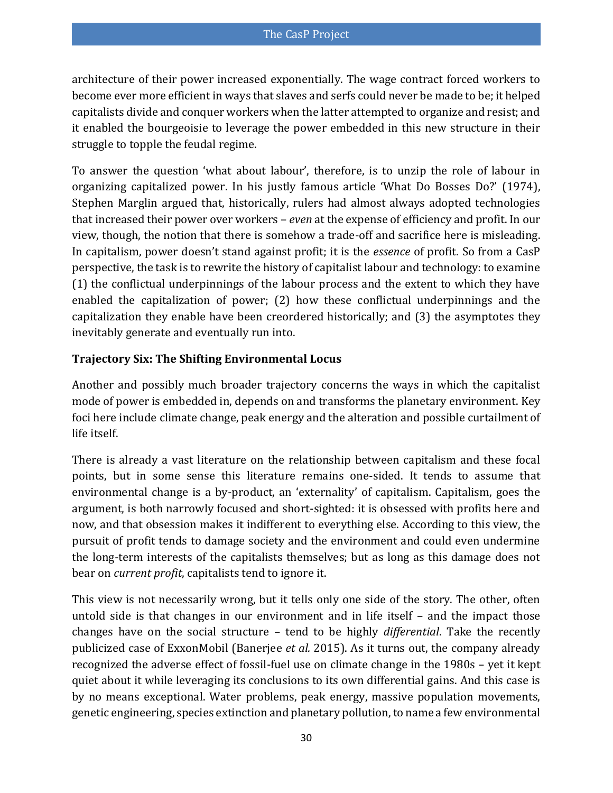architecture of their power increased exponentially. The wage contract forced workers to become ever more efficient in ways that slaves and serfs could never be made to be; it helped capitalists divide and conquer workers when the latter attempted to organize and resist; and it enabled the bourgeoisie to leverage the power embedded in this new structure in their struggle to topple the feudal regime.

To answer the question 'what about labour', therefore, is to unzip the role of labour in organizing capitalized power. In his justly famous article 'What Do Bosses Do?' [\(1974\)](#page-36-14), Stephen Marglin argued that, historically, rulers had almost always adopted technologies that increased their power over workers – *even* at the expense of efficiency and profit. In our view, though, the notion that there is somehow a trade-off and sacrifice here is misleading. In capitalism, power doesn't stand against profit; it is the *essence* of profit. So from a CasP perspective, the task is to rewrite the history of capitalist labour and technology: to examine (1) the conflictual underpinnings of the labour process and the extent to which they have enabled the capitalization of power; (2) how these conflictual underpinnings and the capitalization they enable have been creordered historically; and (3) the asymptotes they inevitably generate and eventually run into.

#### **Trajectory Six: The Shifting Environmental Locus**

Another and possibly much broader trajectory concerns the ways in which the capitalist mode of power is embedded in, depends on and transforms the planetary environment. Key foci here include climate change, peak energy and the alteration and possible curtailment of life itself.

There is already a vast literature on the relationship between capitalism and these focal points, but in some sense this literature remains one-sided. It tends to assume that environmental change is a by-product, an 'externality' of capitalism. Capitalism, goes the argument, is both narrowly focused and short-sighted: it is obsessed with profits here and now, and that obsession makes it indifferent to everything else. According to this view, the pursuit of profit tends to damage society and the environment and could even undermine the long-term interests of the capitalists themselves; but as long as this damage does not bear on *current profit*, capitalists tend to ignore it.

This view is not necessarily wrong, but it tells only one side of the story. The other, often untold side is that changes in our environment and in life itself – and the impact those changes have on the social structure – tend to be highly *differential*. Take the recently publicized case of ExxonMobil [\(Banerjee](#page-31-9) *et al.* 2015). As it turns out, the company already recognized the adverse effect of fossil-fuel use on climate change in the 1980s – yet it kept quiet about it while leveraging its conclusions to its own differential gains. And this case is by no means exceptional. Water problems, peak energy, massive population movements, genetic engineering, species extinction and planetary pollution, to name a few environmental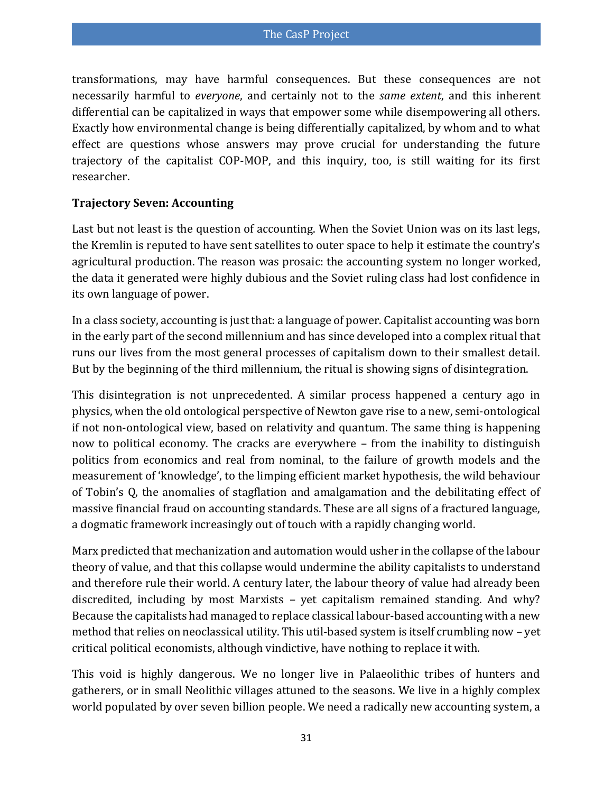transformations, may have harmful consequences. But these consequences are not necessarily harmful to *everyone*, and certainly not to the *same extent*, and this inherent differential can be capitalized in ways that empower some while disempowering all others. Exactly how environmental change is being differentially capitalized, by whom and to what effect are questions whose answers may prove crucial for understanding the future trajectory of the capitalist COP-MOP, and this inquiry, too, is still waiting for its first researcher.

#### **Trajectory Seven: Accounting**

Last but not least is the question of accounting. When the Soviet Union was on its last legs, the Kremlin is reputed to have sent satellites to outer space to help it estimate the country's agricultural production. The reason was prosaic: the accounting system no longer worked, the data it generated were highly dubious and the Soviet ruling class had lost confidence in its own language of power.

In a class society, accounting is just that: a language of power. Capitalist accounting was born in the early part of the second millennium and has since developed into a complex ritual that runs our lives from the most general processes of capitalism down to their smallest detail. But by the beginning of the third millennium, the ritual is showing signs of disintegration.

This disintegration is not unprecedented. A similar process happened a century ago in physics, when the old ontological perspective of Newton gave rise to a new, semi-ontological if not non-ontological view, based on relativity and quantum. The same thing is happening now to political economy. The cracks are everywhere – from the inability to distinguish politics from economics and real from nominal, to the failure of growth models and the measurement of 'knowledge', to the limping efficient market hypothesis, the wild behaviour of Tobin's Q, the anomalies of stagflation and amalgamation and the debilitating effect of massive financial fraud on accounting standards. These are all signs of a fractured language, a dogmatic framework increasingly out of touch with a rapidly changing world.

Marx predicted that mechanization and automation would usher in the collapse of the labour theory of value, and that this collapse would undermine the ability capitalists to understand and therefore rule their world. A century later, the labour theory of value had already been discredited, including by most Marxists – yet capitalism remained standing. And why? Because the capitalists had managed to replace classical labour-based accounting with a new method that relies on neoclassical utility. This util-based system is itself crumbling now – yet critical political economists, although vindictive, have nothing to replace it with.

This void is highly dangerous. We no longer live in Palaeolithic tribes of hunters and gatherers, or in small Neolithic villages attuned to the seasons. We live in a highly complex world populated by over seven billion people. We need a radically new accounting system, a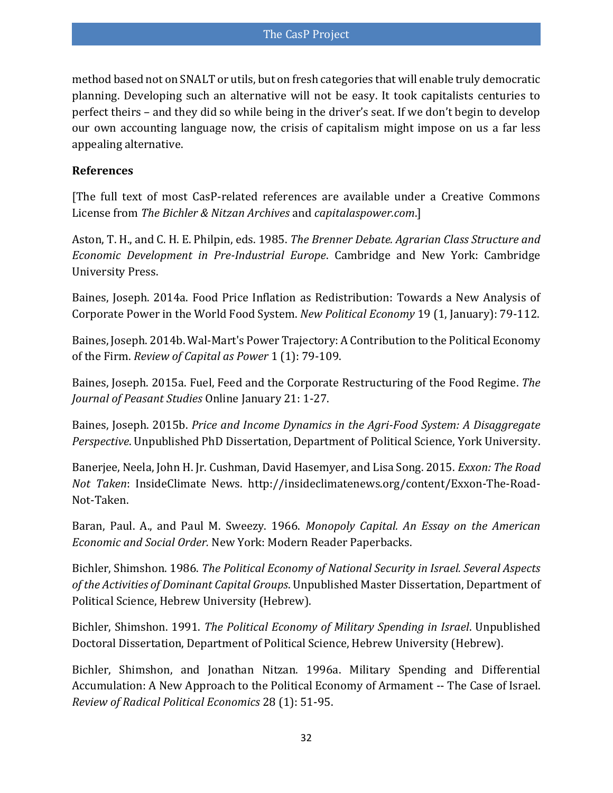method based not on SNALT or utils, but on fresh categories that will enable truly democratic planning. Developing such an alternative will not be easy. It took capitalists centuries to perfect theirs – and they did so while being in the driver's seat. If we don't begin to develop our own accounting language now, the crisis of capitalism might impose on us a far less appealing alternative.

#### **References**

[The full text of most CasP-related references are available under a Creative Commons License from *[The Bichler & Nitzan Archives](http://bnarchives.yorku.ca/)* and *[capitalaspower.com](http://capitalaspower.com/)*.]

<span id="page-31-8"></span>Aston, T. H., and C. H. E. Philpin, eds. 1985. *The Brenner Debate. Agrarian Class Structure and Economic Development in Pre-Industrial Europe*. Cambridge and New York: Cambridge University Press.

<span id="page-31-6"></span>Baines, Joseph. 2014a. [Food Price Inflation as Redistribution: Towards a New Analysis of](http://bnarchives.yorku.ca/359/)  [Corporate Power in the World Food System.](http://bnarchives.yorku.ca/359/) *New Political Economy* 19 (1, January): 79-112.

<span id="page-31-5"></span>Baines, Joseph. 2014b[. Wal-Mart's Power Trajectory: A Contribution to the Political Economy](http://bnarchives.yorku.ca/394/)  [of the Firm.](http://bnarchives.yorku.ca/394/) *Review of Capital as Power* 1 (1): 79-109.

<span id="page-31-7"></span>Baines, Joseph. 2015a. [Fuel, Feed and the Corporate Restructuring of the Food Regime.](http://bnarchives.yorku.ca/434/) *The Journal of Peasant Studies* Online January 21: 1-27.

<span id="page-31-4"></span>Baines, Joseph. 2015b. *[Price and Income Dynamics in the Agri-Food System: A Disaggregate](http://bnarchives.yorku.ca/437/)  [Perspective](http://bnarchives.yorku.ca/437/)*. Unpublished PhD Dissertation, Department of Political Science, York University.

<span id="page-31-9"></span>Banerjee, Neela, John H. Jr. Cushman, David Hasemyer, and Lisa Song. 2015. *Exxon: The Road Not Taken*: InsideClimate News. [http://insideclimatenews.org/content/Exxon-The-Road-](http://insideclimatenews.org/content/Exxon-The-Road-Not-Taken)[Not-Taken.](http://insideclimatenews.org/content/Exxon-The-Road-Not-Taken)

<span id="page-31-0"></span>Baran, Paul. A., and Paul M. Sweezy. 1966. *Monopoly Capital. An Essay on the American Economic and Social Order.* New York: Modern Reader Paperbacks.

<span id="page-31-1"></span>Bichler, Shimshon. 1986. *The Political Economy of National Security in Israel. Several Aspects of the Activities of Dominant Capital Groups*. Unpublished Master Dissertation, Department of Political Science, Hebrew University (Hebrew).

<span id="page-31-2"></span>Bichler, Shimshon. 1991. *The Political Economy of Military Spending in Israel*. Unpublished Doctoral Dissertation, Department of Political Science, Hebrew University (Hebrew).

<span id="page-31-3"></span>Bichler, Shimshon, and Jonathan Nitzan. 1996a. [Military Spending and Differential](http://bnarchives.yorku.ca/12/)  [Accumulation: A New Approach to the Political Economy of Armament --](http://bnarchives.yorku.ca/12/) The Case of Israel. *Review of Radical Political Economics* 28 (1): 51-95.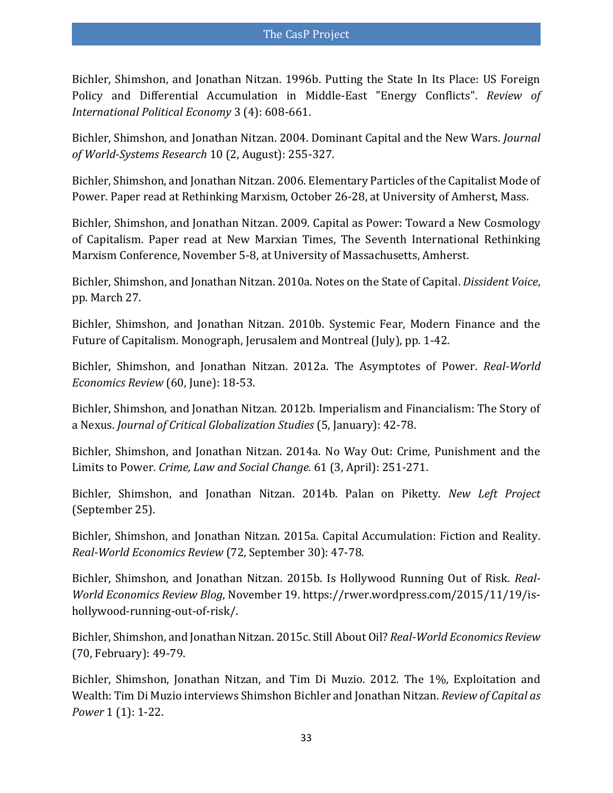<span id="page-32-2"></span>Bichler, Shimshon, and Jonathan Nitzan. 1996b. [Putting the State In Its Place: US Foreign](http://bnarchives.yorku.ca/11/)  [Policy and Differential Accumulation in Middle-East "Energy Conflicts".](http://bnarchives.yorku.ca/11/) *Review of International Political Economy* 3 (4): 608-661.

<span id="page-32-3"></span>Bichler, Shimshon, and Jonathan Nitzan. 2004. [Dominant Capital and the New Wars.](http://bnarchives.yorku.ca/1/) *Journal of World-Systems Research* 10 (2, August): 255-327.

<span id="page-32-5"></span>Bichler, Shimshon, and Jonathan Nitzan. 2006. [Elementary Particles of the Capitalist Mode of](http://bnarchives.yorku.ca/215/)  [Power.](http://bnarchives.yorku.ca/215/) Paper read at Rethinking Marxism, October 26-28, at University of Amherst, Mass.

<span id="page-32-6"></span>Bichler, Shimshon, and Jonathan Nitzan. 2009. [Capital as Power: Toward a New Cosmology](http://bnarchives.yorku.ca/274/)  [of Capitalism.](http://bnarchives.yorku.ca/274/) Paper read at New Marxian Times, The Seventh International Rethinking Marxism Conference, November 5-8, at University of Massachusetts, Amherst.

<span id="page-32-12"></span>Bichler, Shimshon, and Jonathan Nitzan. 2010a[. Notes on the State of Capital.](http://bnarchives.yorku.ca/283/) *Dissident Voice*, pp. March 27.

<span id="page-32-1"></span>Bichler, Shimshon, and Jonathan Nitzan. 2010b. [Systemic Fear, Modern Finance and the](http://bnarchives.yorku.ca/289/)  [Future of Capitalism.](http://bnarchives.yorku.ca/289/) Monograph, Jerusalem and Montreal (July), pp. 1-42.

<span id="page-32-7"></span>Bichler, Shimshon, and Jonathan Nitzan. 2012a. [The Asymptotes of Power.](http://bnarchives.yorku.ca/336/) *Real-World Economics Review* (60, June): 18-53.

<span id="page-32-11"></span>Bichler, Shimshon, and Jonathan Nitzan. 2012b. [Imperialism and Financialism: The Story](http://bnarchives.yorku.ca/329/) of [a Nexus.](http://bnarchives.yorku.ca/329/) *Journal of Critical Globalization Studies* (5, January): 42-78.

<span id="page-32-8"></span>Bichler, Shimshon, and Jonathan Nitzan. 2014a. [No Way Out: Crime, Punishment and the](http://bnarchives.yorku.ca/391/)  [Limits to Power.](http://bnarchives.yorku.ca/391/) *Crime, Law and Social Change.* 61 (3, April): 251-271.

<span id="page-32-9"></span>Bichler, Shimshon, and Jonathan Nitzan. 2014b. [Palan on Piketty.](http://bnarchives.yorku.ca/413/) *New Left Project* (September 25).

<span id="page-32-4"></span>Bichler, Shimshon, and Jonathan Nitzan. 2015a. [Capital Accumulation: Fiction and Reality.](http://bnarchives.yorku.ca/456/) *Real-World Economics Review* (72, September 30): 47-78.

<span id="page-32-10"></span>Bichler, Shimshon, and Jonathan Nitzan. 2015b. Is Hollywood Running Out of Risk. *Real-World Economics Review Blog*, November 19. [https://rwer.wordpress.com/2015/11/19/is](https://rwer.wordpress.com/2015/11/19/is-hollywood-running-out-of-risk/)[hollywood-running-out-of-risk/.](https://rwer.wordpress.com/2015/11/19/is-hollywood-running-out-of-risk/)

<span id="page-32-0"></span>Bichler, Shimshon, and Jonathan Nitzan. 2015c. [Still About Oil?](http://bnarchives.yorku.ca/432/) *Real-World Economics Review* (70, February): 49-79.

<span id="page-32-13"></span>Bichler, Shimshon, Jonathan Nitzan, and Tim Di Muzio. 2012. [The 1%, Exploitation and](http://bnarchives.yorku.ca/342/)  [Wealth: Tim Di Muzio interviews Shimshon Bichler and Jonathan Nitzan.](http://bnarchives.yorku.ca/342/) *Review of Capital as Power* 1 (1): 1-22.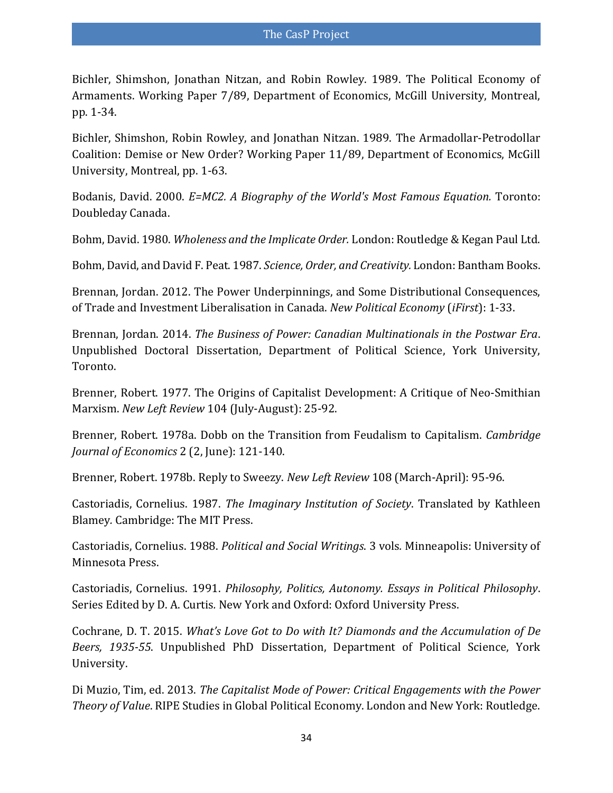<span id="page-33-5"></span>Bichler, Shimshon, Jonathan Nitzan, and Robin Rowley. 1989. [The Political Economy of](http://bnarchives.yorku.ca/132/)  [Armaments.](http://bnarchives.yorku.ca/132/) Working Paper 7/89, Department of Economics, McGill University, Montreal, pp. 1-34.

<span id="page-33-6"></span>Bichler, Shimshon, Robin Rowley, and Jonathan Nitzan. 1989. [The Armadollar-Petrodollar](http://bnarchives.yorku.ca/135/)  [Coalition: Demise or New Order?](http://bnarchives.yorku.ca/135/) Working Paper 11/89, Department of Economics, McGill University, Montreal, pp. 1-63.

<span id="page-33-7"></span>Bodanis, David. 2000. *E=MC2. A Biography of the World's Most Famous Equation.* Toronto: Doubleday Canada.

<span id="page-33-3"></span>Bohm, David. 1980. *Wholeness and the Implicate Order.* London: Routledge & Kegan Paul Ltd.

<span id="page-33-4"></span>Bohm, David, and David F. Peat. 1987. *Science, Order, and Creativity.* London: Bantham Books.

<span id="page-33-9"></span>Brennan, Jordan. 2012. [The Power Underpinnings, and Some Distributional Consequences,](http://bnarchives.yorku.ca/351/)  [of Trade and Investment Liberalisation in Canada.](http://bnarchives.yorku.ca/351/) *New Political Economy* (*iFirst*): 1-33.

<span id="page-33-8"></span>Brennan, Jordan. 2014. *The Business of Power: Canadian Multinationals in the Postwar Era*. Unpublished Doctoral Dissertation, Department of Political Science, York University, Toronto.

<span id="page-33-12"></span>Brenner, Robert. 1977. The Origins of Capitalist Development: A Critique of Neo-Smithian Marxism. *New Left Review* 104 (July-August): 25-92.

<span id="page-33-13"></span>Brenner, Robert. 1978a. Dobb on the Transition from Feudalism to Capitalism. *Cambridge Journal of Economics* 2 (2, June): 121-140.

<span id="page-33-14"></span>Brenner, Robert. 1978b. Reply to Sweezy. *New Left Review* 108 (March-April): 95-96.

<span id="page-33-0"></span>Castoriadis, Cornelius. 1987. *The Imaginary Institution of Society*. Translated by Kathleen Blamey*.* Cambridge: The MIT Press.

<span id="page-33-1"></span>Castoriadis, Cornelius. 1988. *Political and Social Writings*. 3 vols*.* Minneapolis: University of Minnesota Press.

<span id="page-33-2"></span>Castoriadis, Cornelius. 1991. *Philosophy, Politics, Autonomy. Essays in Political Philosophy*. Series Edited by D. A. Curtis*.* New York and Oxford: Oxford University Press.

<span id="page-33-10"></span>Cochrane, D. T. 2015. *What's Love Got to Do with It? Diamonds and the Accumulation of De Beers, 1935-55*. Unpublished PhD Dissertation, Department of Political Science, York University.

<span id="page-33-11"></span>Di Muzio, Tim, ed. 2013. *[The Capitalist Mode of Power: Critical Engagements with the Power](http://bnarchives.yorku.ca/371/)  [Theory of Value](http://bnarchives.yorku.ca/371/)*. RIPE Studies in Global Political Economy. London and New York: Routledge.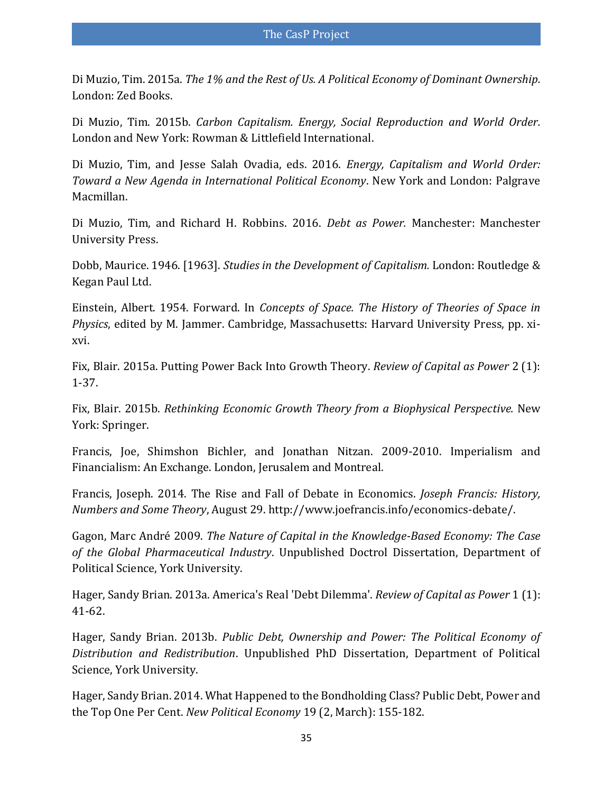<span id="page-34-9"></span>Di Muzio, Tim. 2015a. *[The 1% and the Rest of Us. A Political Economy of Dominant Ownership.](http://bnarchives.yorku.ca/457/)* London: Zed Books.

<span id="page-34-10"></span>Di Muzio, Tim. 2015b. *[Carbon Capitalism. Energy, Social Reproduction and World Order.](http://bnarchives.yorku.ca/453/)* London and New York: Rowman & Littlefield International.

<span id="page-34-12"></span>Di Muzio, Tim, and Jesse Salah Ovadia, eds. 2016. *Energy, Capitalism and World Order: Toward a New Agenda in International Political Economy*. New York and London: Palgrave Macmillan.

<span id="page-34-11"></span>Di Muzio, Tim, and Richard H. Robbins. 2016. *Debt as Power.* Manchester: Manchester University Press.

<span id="page-34-13"></span>Dobb, Maurice. 1946. [1963]. *Studies in the Development of Capitalism.* London: Routledge & Kegan Paul Ltd.

<span id="page-34-1"></span>Einstein, Albert. 1954. Forward. In *Concepts of Space. The History of Theories of Space in Physics*, edited by M. Jammer. Cambridge, Massachusetts: Harvard University Press, pp. xixvi.

<span id="page-34-3"></span>Fix, Blair. 2015a. [Putting Power Back Into Growth Theory.](http://bnarchives.yorku.ca/444/) *Review of Capital as Power* 2 (1): 1-37.

<span id="page-34-2"></span>Fix, Blair. 2015b. *[Rethinking Economic Growth Theory from a Biophysical Perspective.](http://bnarchives.yorku.ca/426/)* New York: Springer.

<span id="page-34-8"></span>Francis, Joe, Shimshon Bichler, and Jonathan Nitzan. 2009-2010. [Imperialism and](http://bnarchives.yorku.ca/278/)  [Financialism: An Exchange.](http://bnarchives.yorku.ca/278/) London, Jerusalem and Montreal.

<span id="page-34-0"></span>Francis, Joseph. 2014. The Rise and Fall of Debate in Economics. *Joseph Francis: History, Numbers and Some Theory*, August 29. [http://www.joefrancis.info/economics-debate/.](http://www.joefrancis.info/economics-debate/)

<span id="page-34-4"></span>Gagon, Marc André 2009. *The Nature of Capital in the Knowledge-Based Economy: The Case of the Global Pharmaceutical Industry*. Unpublished Doctrol Dissertation, Department of Political Science, York University.

<span id="page-34-6"></span>Hager, Sandy Brian. 2013a. [America's Real 'Debt Dilemma'.](http://bnarchives.yorku.ca/367/) *Review of Capital as Power* 1 (1): 41-62.

<span id="page-34-5"></span>Hager, Sandy Brian. 2013b. *[Public Debt, Ownership and Power: The Political Economy of](http://bnarchives.yorku.ca/382/)  [Distribution and Redistribution](http://bnarchives.yorku.ca/382/)*. Unpublished PhD Dissertation, Department of Political Science, York University.

<span id="page-34-7"></span>Hager, Sandy Brian. 2014. [What Happened to the Bondholding Class? Public Debt, Power and](http://bnarchives.yorku.ca/356/)  [the Top One Per Cent.](http://bnarchives.yorku.ca/356/) *New Political Economy* 19 (2, March): 155-182.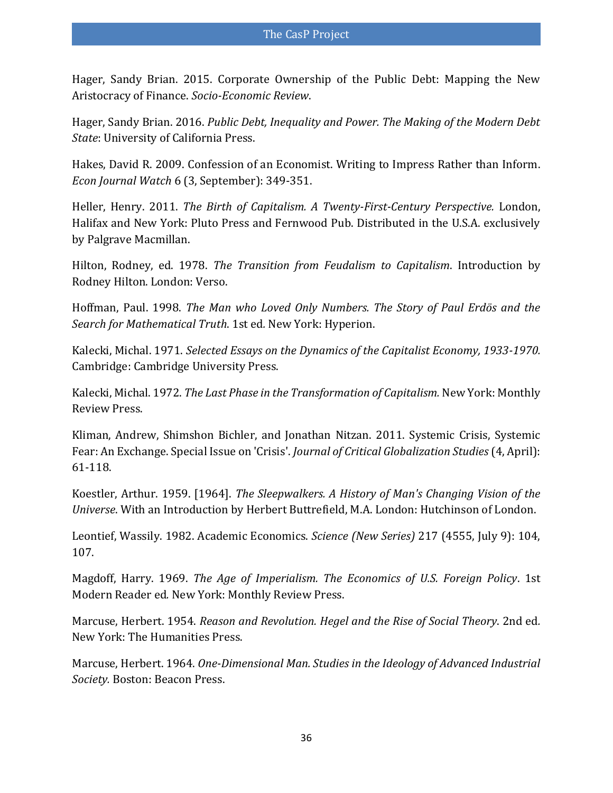<span id="page-35-10"></span>Hager, Sandy Brian. 2015. [Corporate Ownership of the Public Debt: Mapping the New](http://bnarchives.yorku.ca/448/)  [Aristocracy of Finance.](http://bnarchives.yorku.ca/448/) *Socio-Economic Review*.

<span id="page-35-11"></span>Hager, Sandy Brian. 2016. *Public Debt, Inequality and Power. The Making of the Modern Debt State*: University of California Press.

<span id="page-35-3"></span>Hakes, David R. 2009. [Confession of an Economist. Writing to Impress Rather than Inform.](http://econjwatch.org/articles/confession-of-an-economist-writing-to-impress-rather-than-inform) *Econ Journal Watch* 6 (3, September): 349-351.

<span id="page-35-13"></span>Heller, Henry. 2011. *The Birth of Capitalism. A Twenty-First-Century Perspective.* London, Halifax and New York: Pluto Press and Fernwood Pub. Distributed in the U.S.A. exclusively by Palgrave Macmillan.

<span id="page-35-12"></span>Hilton, Rodney, ed. 1978. *The Transition from Feudalism to Capitalism*. Introduction by Rodney Hilton. London: Verso.

<span id="page-35-9"></span>Hoffman, Paul. 1998. *The Man who Loved Only Numbers. The Story of Paul Erdös and the Search for Mathematical Truth*. 1st ed*.* New York: Hyperion.

<span id="page-35-6"></span>Kalecki, Michal. 1971. *Selected Essays on the Dynamics of the Capitalist Economy, 1933-1970.* Cambridge: Cambridge University Press.

<span id="page-35-7"></span>Kalecki, Michal. 1972. *The Last Phase in the Transformation of Capitalism.* New York: Monthly Review Press.

<span id="page-35-1"></span>Kliman, Andrew, Shimshon Bichler, and Jonathan Nitzan. 2011. [Systemic Crisis, Systemic](http://bnarchives.yorku.ca/314/)  [Fear: An Exchange.](http://bnarchives.yorku.ca/314/) Special Issue on 'Crisis'. *Journal of Critical Globalization Studies* (4, April): 61-118.

<span id="page-35-0"></span>Koestler, Arthur. 1959. [1964]. *[The Sleepwalkers. A History of Man's Changing Vision of the](https://archive.org/details/ArthurKoestler-TheSleepwalkers-AHistoryOfMansChangingVisionOfThe)  [Universe](https://archive.org/details/ArthurKoestler-TheSleepwalkers-AHistoryOfMansChangingVisionOfThe)*. With an Introduction by Herbert Buttrefield, M.A. London: Hutchinson of London.

<span id="page-35-2"></span>Leontief, Wassily. 1982. Academic Economics. *Science (New Series)* 217 (4555, July 9): 104, 107.

<span id="page-35-8"></span>Magdoff, Harry. 1969. *The Age of Imperialism. The Economics of U.S. Foreign Policy*. 1st Modern Reader ed*.* New York: Monthly Review Press.

<span id="page-35-4"></span>Marcuse, Herbert. 1954. *Reason and Revolution. Hegel and the Rise of Social Theory*. 2nd ed*.* New York: The Humanities Press.

<span id="page-35-5"></span>Marcuse, Herbert. 1964. *One-Dimensional Man. Studies in the Ideology of Advanced Industrial Society.* Boston: Beacon Press.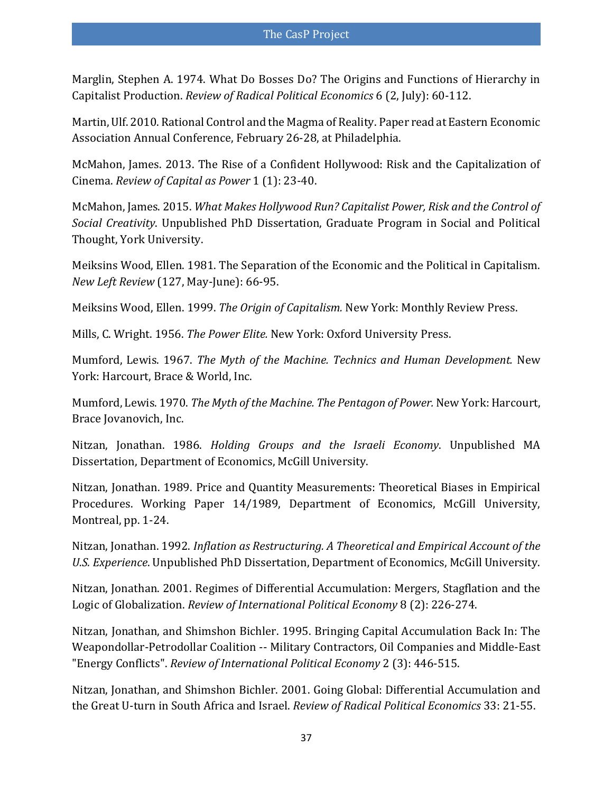<span id="page-36-14"></span>Marglin, Stephen A. 1974. [What Do Bosses Do? The Origins and Functions of Hierarchy in](http://scholar.harvard.edu/marglin/publications/what-do-bosses-do)  [Capitalist Production.](http://scholar.harvard.edu/marglin/publications/what-do-bosses-do) *Review of Radical Political Economics* 6 (2, July): 60-112.

<span id="page-36-8"></span>Martin, Ulf. 2010. Rational Control and the Magma of Reality. Paper read at Eastern Economic Association Annual Conference, February 26-28, at Philadelphia.

<span id="page-36-11"></span>McMahon, James. 2013. [The Rise of a Confident Hollywood: Risk and the Capitalization of](http://bnarchives.yorku.ca/362/)  [Cinema.](http://bnarchives.yorku.ca/362/) *Review of Capital as Power* 1 (1): 23-40.

<span id="page-36-10"></span>McMahon, James. 2015. *[What Makes Hollywood Run? Capitalist Power, Risk and the Control of](http://bnarchives.yorku.ca/463/)  [Social Creativity](http://bnarchives.yorku.ca/463/)*. Unpublished PhD Dissertation, Graduate Program in Social and Political Thought, York University.

<span id="page-36-12"></span>Meiksins Wood, Ellen. 1981. The Separation of the Economic and the Political in Capitalism. *New Left Review* (127, May-June): 66-95.

<span id="page-36-13"></span>Meiksins Wood, Ellen. 1999. *The Origin of Capitalism.* New York: Monthly Review Press.

<span id="page-36-0"></span>Mills, C. Wright. 1956. *The Power Elite.* New York: Oxford University Press.

<span id="page-36-3"></span>Mumford, Lewis. 1967. *The Myth of the Machine. Technics and Human Development.* New York: Harcourt, Brace & World, Inc.

<span id="page-36-4"></span>Mumford, Lewis. 1970. *The Myth of the Machine. The Pentagon of Power.* New York: Harcourt, Brace Jovanovich, Inc.

<span id="page-36-2"></span>Nitzan, Jonathan. 1986. *Holding Groups and the Israeli Economy*. Unpublished MA Dissertation, Department of Economics, McGill University.

<span id="page-36-7"></span>Nitzan, Jonathan. 1989. [Price and Quantity Measurements: Theoretical Biases in Empirical](http://bnarchives.yorku.ca/137/)  [Procedures.](http://bnarchives.yorku.ca/137/) Working Paper 14/1989, Department of Economics, McGill University, Montreal, pp. 1-24.

<span id="page-36-5"></span>Nitzan, Jonathan. 1992. *[Inflation as Restructuring. A Theoretical and Empirical Account of the](http://bnarchives.yorku.ca/207/)  [U.S. Experience](http://bnarchives.yorku.ca/207/)*. Unpublished PhD Dissertation, Department of Economics, McGill University.

<span id="page-36-1"></span>Nitzan, Jonathan. 2001. [Regimes of Differential Accumulation: Mergers, Stagflation and the](http://bnarchives.yorku.ca/3/)  [Logic of Globalization.](http://bnarchives.yorku.ca/3/) *Review of International Political Economy* 8 (2): 226-274.

<span id="page-36-6"></span>Nitzan, Jonathan, and Shimshon Bichler. 1995. [Bringing Capital Accumulation Back In: The](http://bnarchives.yorku.ca/13/)  Weapondollar-Petrodollar Coalition -- [Military Contractors, Oil Companies and Middle-East](http://bnarchives.yorku.ca/13/)  ["Energy Conflicts".](http://bnarchives.yorku.ca/13/) *Review of International Political Economy* 2 (3): 446-515.

<span id="page-36-9"></span>Nitzan, Jonathan, and Shimshon Bichler. 2001. [Going Global: Differential Accumulation and](http://bnarchives.yorku.ca/4/)  [the Great U-turn in South Africa and Israel.](http://bnarchives.yorku.ca/4/) *Review of Radical Political Economics* 33: 21-55.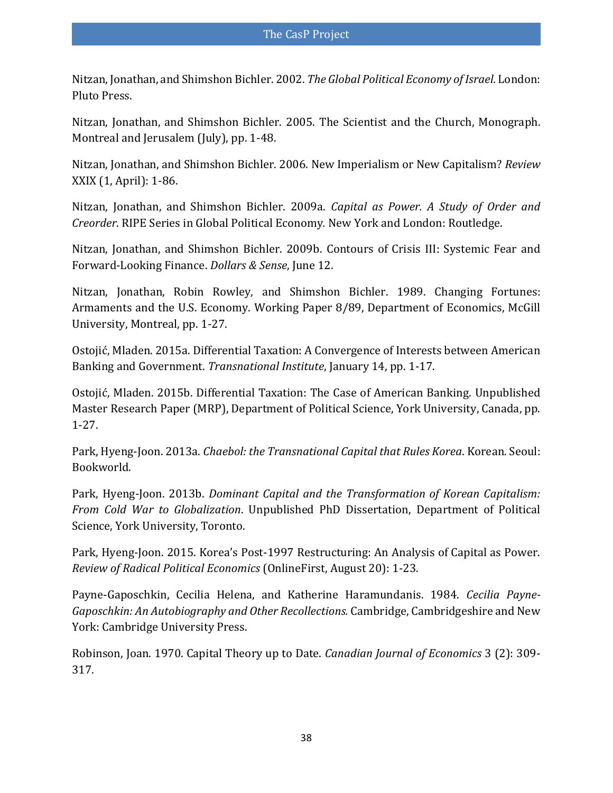<span id="page-37-4"></span>Nitzan, Jonathan, and Shimshon Bichler. 2002. *[The Global Political Economy of Israel.](http://bnarchives.yorku.ca/8/)* London: Pluto Press.

<span id="page-37-7"></span>Nitzan, Jonathan, and Shimshon Bichler. 2005. [The Scientist and the Church,](http://bnarchives.yorku.ca/185/) Monograph. Montreal and Jerusalem (July), pp. 1-48.

<span id="page-37-5"></span>Nitzan, Jonathan, and Shimshon Bichler. 2006. [New Imperialism or New Capitalism?](http://bnarchives.yorku.ca/203/) *Review* XXIX (1, April): 1-86.

<span id="page-37-2"></span>Nitzan, Jonathan, and Shimshon Bichler. 2009a. *[Capital as Power. A Study of Order and](http://bnarchives.yorku.ca/259/)  [Creorder](http://bnarchives.yorku.ca/259/)*. RIPE Series in Global Political Economy*.* New York and London: Routledge.

<span id="page-37-0"></span>Nitzan, Jonathan, and Shimshon Bichler. 2009b. [Contours of Crisis III: Systemic Fear and](http://bnarchives.yorku.ca/262/)  [Forward-Looking Finance.](http://bnarchives.yorku.ca/262/) *Dollars & Sense*, June 12.

<span id="page-37-3"></span>Nitzan, Jonathan, Robin Rowley, and Shimshon Bichler. 1989. [Changing Fortunes:](http://bnarchives.yorku.ca/133/)  [Armaments and the U.S. Economy.](http://bnarchives.yorku.ca/133/) Working Paper 8/89, Department of Economics, McGill University, Montreal, pp. 1-27.

<span id="page-37-12"></span>Ostojić, Mladen. 2015a. [Differential Taxation: A Convergence of Interests between American](http://bnarchives.yorku.ca/435/)  [Banking and Government.](http://bnarchives.yorku.ca/435/) *Transnational Institute*, January 14, pp. 1-17.

<span id="page-37-11"></span>Ostojić, Mladen. 2015b. [Differential Taxation: The Case of American Banking.](http://bnarchives.yorku.ca/439/) Unpublished Master Research Paper (MRP), Department of Political Science, York University, Canada, pp. 1-27.

<span id="page-37-9"></span>Park, Hyeng-Joon. 2013a. *[Chaebol: the Transnational Capital that Rules Korea](http://bnarchives.yorku.ca/376/)*. Korean*.* Seoul: Bookworld.

<span id="page-37-8"></span>Park, Hyeng-Joon. 2013b. *[Dominant Capital and the Transformation of Korean Capitalism:](http://bnarchives.yorku.ca/365/)  [From Cold War to Globalization](http://bnarchives.yorku.ca/365/)*. Unpublished PhD Dissertation, Department of Political Science, York University, Toronto.

<span id="page-37-10"></span>Park, Hyeng-Joon. 2015. Korea's Post[-1997 Restructuring: An Analysis of Capital as Power.](http://bnarchives.yorku.ca/411/) *Review of Radical Political Economics* (OnlineFirst, August 20): 1-23.

<span id="page-37-6"></span>Payne-Gaposchkin, Cecilia Helena, and Katherine Haramundanis. 1984. *Cecilia Payne-Gaposchkin: An Autobiography and Other Recollections.* Cambridge, Cambridgeshire and New York: Cambridge University Press.

<span id="page-37-1"></span>Robinson, Joan. 1970. Capital Theory up to Date. *Canadian Journal of Economics* 3 (2): 309- 317.